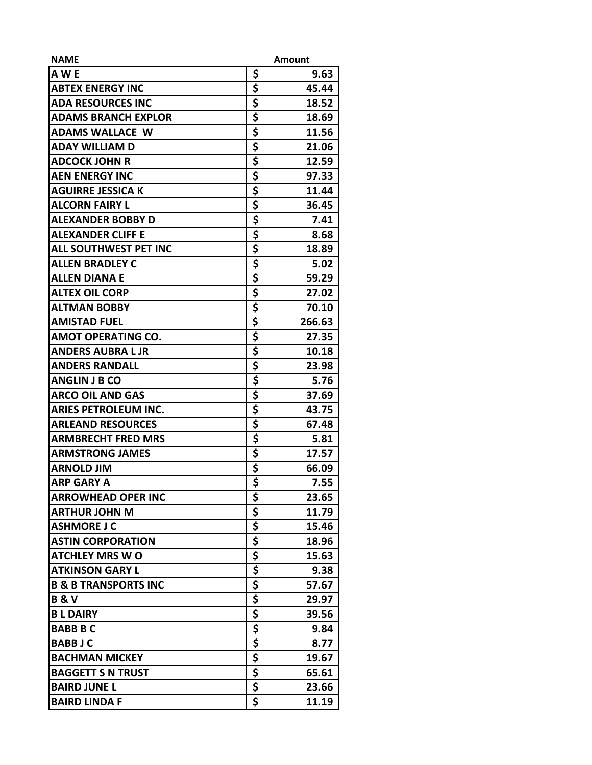| <b>NAME</b>                     |             | Amount |
|---------------------------------|-------------|--------|
| A W E                           | \$          | 9.63   |
| <b>ABTEX ENERGY INC</b>         | \$          | 45.44  |
| <b>ADA RESOURCES INC</b>        | \$          | 18.52  |
| <b>ADAMS BRANCH EXPLOR</b>      | \$          | 18.69  |
| <b>ADAMS WALLACE W</b>          | \$          | 11.56  |
| <b>ADAY WILLIAM D</b>           | \$          | 21.06  |
| <b>ADCOCK JOHN R</b>            | \$          | 12.59  |
| <b>AEN ENERGY INC</b>           | \$          | 97.33  |
| <b>AGUIRRE JESSICA K</b>        | \$          | 11.44  |
| <b>ALCORN FAIRY L</b>           | \$          | 36.45  |
| ALEXANDER BOBBY D               | \$          | 7.41   |
| <b>ALEXANDER CLIFF E</b>        | \$          | 8.68   |
| <b>ALL SOUTHWEST PET INC</b>    | \$          | 18.89  |
| <b>ALLEN BRADLEY C</b>          | \$          | 5.02   |
| <b>ALLEN DIANA E</b>            | \$          | 59.29  |
| <b>ALTEX OIL CORP</b>           | \$          | 27.02  |
| <b>ALTMAN BOBBY</b>             | \$          | 70.10  |
| <b>AMISTAD FUEL</b>             | \$          | 266.63 |
| <b>AMOT OPERATING CO.</b>       | \$          | 27.35  |
| <b>ANDERS AUBRA L JR</b>        | \$          | 10.18  |
| <b>ANDERS RANDALL</b>           | \$          | 23.98  |
| <b>ANGLIN J B CO</b>            | \$          | 5.76   |
| <b>ARCO OIL AND GAS</b>         | \$          | 37.69  |
| <b>ARIES PETROLEUM INC.</b>     | \$          | 43.75  |
| <b>ARLEAND RESOURCES</b>        | \$          | 67.48  |
| <b>ARMBRECHT FRED MRS</b>       | \$          | 5.81   |
| <b>ARMSTRONG JAMES</b>          | \$          | 17.57  |
| <b>ARNOLD JIM</b>               | \$          | 66.09  |
| <b>ARP GARY A</b>               | \$          | 7.55   |
| <b>ARROWHEAD OPER INC</b>       | \$          | 23.65  |
| <b>ARTHUR JOHN M</b>            | \$          | 11.79  |
| <b>ASHMORE J C</b>              |             | 15.46  |
| <b>ASTIN CORPORATION</b>        | $rac{5}{5}$ | 18.96  |
| <b>ATCHLEY MRS WO</b>           | \$          | 15.63  |
| <b>ATKINSON GARY L</b>          | \$          | 9.38   |
| <b>B &amp; B TRANSPORTS INC</b> | \$          | 57.67  |
| <b>B&amp;V</b>                  | \$          | 29.97  |
| <b>BLDAIRY</b>                  | \$          | 39.56  |
| <b>BABB B C</b>                 | \$          | 9.84   |
| <b>BABBJC</b>                   | \$          | 8.77   |
| <b>BACHMAN MICKEY</b>           | \$          | 19.67  |
| <b>BAGGETT S N TRUST</b>        | \$          | 65.61  |
| <b>BAIRD JUNE L</b>             | \$          | 23.66  |
| <b>BAIRD LINDA F</b>            | \$          | 11.19  |
|                                 |             |        |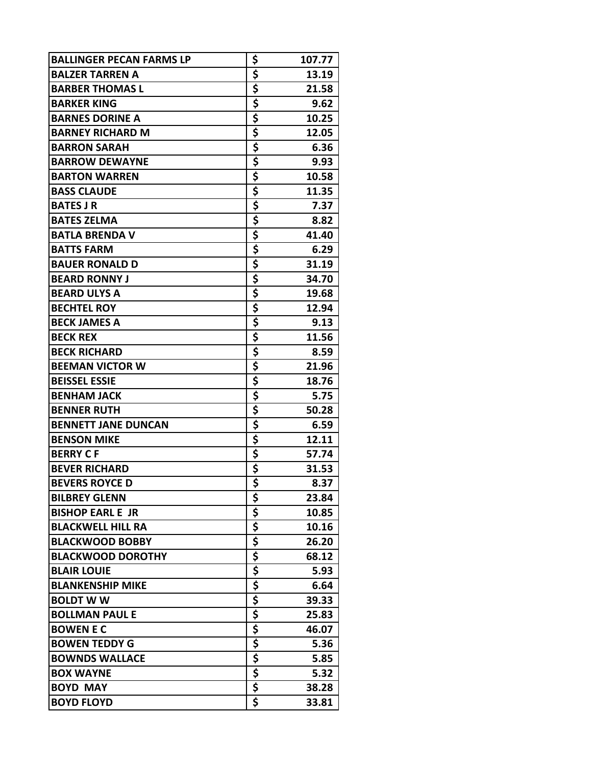| <b>BALLINGER PECAN FARMS LP</b> | \$                                   | 107.77 |
|---------------------------------|--------------------------------------|--------|
| <b>BALZER TARREN A</b>          | \$                                   | 13.19  |
| <b>BARBER THOMAS L</b>          | \$                                   | 21.58  |
| <b>BARKER KING</b>              | \$                                   | 9.62   |
| <b>BARNES DORINE A</b>          | \$                                   | 10.25  |
| <b>BARNEY RICHARD M</b>         | \$                                   | 12.05  |
| <b>BARRON SARAH</b>             | \$                                   | 6.36   |
| <b>BARROW DEWAYNE</b>           | \$                                   | 9.93   |
| <b>BARTON WARREN</b>            | \$                                   | 10.58  |
| <b>BASS CLAUDE</b>              | \$                                   | 11.35  |
| <b>BATES JR</b>                 | \$                                   | 7.37   |
| <b>BATES ZELMA</b>              | \$                                   | 8.82   |
| <b>BATLA BRENDA V</b>           | \$                                   | 41.40  |
| <b>BATTS FARM</b>               | \$                                   | 6.29   |
| <b>BAUER RONALD D</b>           | \$                                   | 31.19  |
| <b>BEARD RONNY J</b>            | \$                                   | 34.70  |
| <b>BEARD ULYS A</b>             | \$                                   | 19.68  |
| <b>BECHTEL ROY</b>              | \$                                   | 12.94  |
| <b>BECK JAMES A</b>             | \$                                   | 9.13   |
| <b>BECK REX</b>                 | \$                                   | 11.56  |
| <b>BECK RICHARD</b>             | \$                                   | 8.59   |
| <b>BEEMAN VICTOR W</b>          | \$                                   | 21.96  |
| <b>BEISSEL ESSIE</b>            | \$                                   | 18.76  |
| <b>BENHAM JACK</b>              | \$                                   | 5.75   |
| <b>BENNER RUTH</b>              | \$                                   | 50.28  |
| <b>BENNETT JANE DUNCAN</b>      | \$                                   | 6.59   |
| <b>BENSON MIKE</b>              | \$                                   | 12.11  |
| <b>BERRY CF</b>                 | \$                                   | 57.74  |
| <b>BEVER RICHARD</b>            | \$                                   | 31.53  |
| <b>BEVERS ROYCE D</b>           | $\overline{\boldsymbol{\mathsf{s}}}$ | 8.37   |
| <b>BILBREY GLENN</b>            | \$                                   | 23.84  |
| <b>BISHOP EARL E JR</b>         |                                      | 10.85  |
| <b>BLACKWELL HILL RA</b>        | $rac{5}{5}$                          | 10.16  |
| <b>BLACKWOOD BOBBY</b>          |                                      | 26.20  |
| <b>BLACKWOOD DOROTHY</b>        | $\frac{5}{5}$                        | 68.12  |
| <b>BLAIR LOUIE</b>              |                                      | 5.93   |
| <b>BLANKENSHIP MIKE</b>         |                                      | 6.64   |
| <b>BOLDT W W</b>                | $rac{5}{5}$                          | 39.33  |
| <b>BOLLMAN PAUL E</b>           | \$                                   | 25.83  |
| <b>BOWEN E C</b>                | \$                                   | 46.07  |
| <b>BOWEN TEDDY G</b>            | \$                                   | 5.36   |
| <b>BOWNDS WALLACE</b>           | \$                                   | 5.85   |
| <b>BOX WAYNE</b>                | \$                                   | 5.32   |
| <b>BOYD MAY</b>                 | \$                                   | 38.28  |
| <b>BOYD FLOYD</b>               | \$                                   | 33.81  |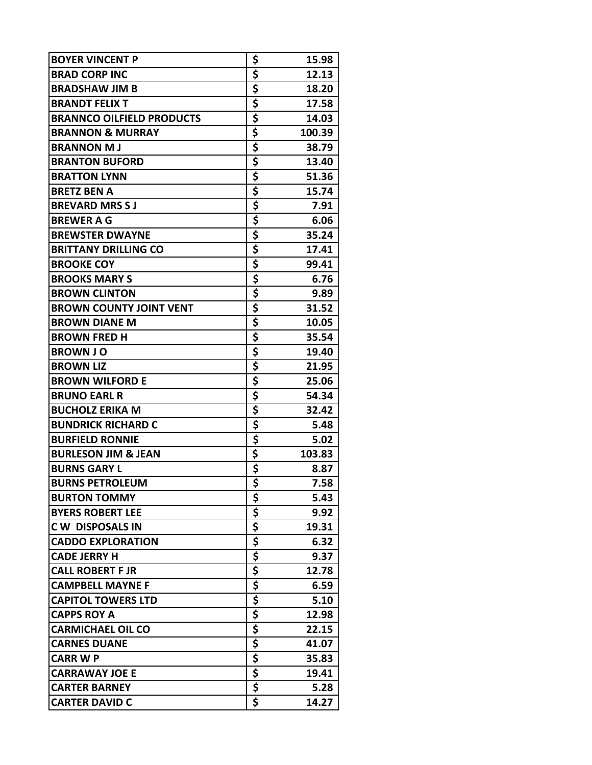| <b>BOYER VINCENT P</b>           | \$                              | 15.98  |
|----------------------------------|---------------------------------|--------|
| <b>BRAD CORP INC</b>             | \$                              | 12.13  |
| <b>BRADSHAW JIM B</b>            | \$                              | 18.20  |
| <b>BRANDT FELIX T</b>            | \$                              | 17.58  |
| <b>BRANNCO OILFIELD PRODUCTS</b> | \$                              | 14.03  |
| <b>BRANNON &amp; MURRAY</b>      | \$                              | 100.39 |
| <b>BRANNON MJ</b>                | \$                              | 38.79  |
| <b>BRANTON BUFORD</b>            | \$                              | 13.40  |
| <b>BRATTON LYNN</b>              | \$                              | 51.36  |
| <b>BRETZ BEN A</b>               | \$                              | 15.74  |
| <b>BREVARD MRS S J</b>           | \$                              | 7.91   |
| <b>BREWER A G</b>                | \$                              | 6.06   |
| <b>BREWSTER DWAYNE</b>           | \$                              | 35.24  |
| <b>BRITTANY DRILLING CO</b>      | \$                              | 17.41  |
| <b>BROOKE COY</b>                | \$                              | 99.41  |
| <b>BROOKS MARY S</b>             | \$                              | 6.76   |
| <b>BROWN CLINTON</b>             | $\frac{1}{5}$                   | 9.89   |
| <b>BROWN COUNTY JOINT VENT</b>   | \$                              | 31.52  |
| <b>BROWN DIANE M</b>             |                                 | 10.05  |
| <b>BROWN FRED H</b>              | $rac{5}{5}$                     | 35.54  |
| <b>BROWN J O</b>                 | \$                              | 19.40  |
| <b>BROWN LIZ</b>                 | \$                              | 21.95  |
| <b>BROWN WILFORD E</b>           | \$                              | 25.06  |
| <b>BRUNO EARL R</b>              | \$                              | 54.34  |
| <b>BUCHOLZ ERIKA M</b>           | \$                              | 32.42  |
| <b>BUNDRICK RICHARD C</b>        | \$                              | 5.48   |
| <b>BURFIELD RONNIE</b>           | \$                              | 5.02   |
| <b>BURLESON JIM &amp; JEAN</b>   | \$                              | 103.83 |
| <b>BURNS GARY L</b>              | \$                              | 8.87   |
| <b>BURNS PETROLEUM</b>           | $\overline{\boldsymbol{\zeta}}$ | 7.58   |
| <b>BURTON TOMMY</b>              | \$                              | 5.43   |
| <b>BYERS ROBERT LEE</b>          | \$                              | 9.92   |
| <b>CW DISPOSALS IN</b>           | \$                              | 19.31  |
| <b>CADDO EXPLORATION</b>         | \$                              | 6.32   |
| <b>CADE JERRY H</b>              | \$                              | 9.37   |
| <b>CALL ROBERT F JR</b>          | \$                              | 12.78  |
| <b>CAMPBELL MAYNE F</b>          |                                 | 6.59   |
| <b>CAPITOL TOWERS LTD</b>        |                                 | 5.10   |
| <b>CAPPS ROY A</b>               |                                 | 12.98  |
| <b>CARMICHAEL OIL CO</b>         |                                 | 22.15  |
| <b>CARNES DUANE</b>              |                                 | 41.07  |
| <b>CARR W P</b>                  |                                 | 35.83  |
| <b>CARRAWAY JOE E</b>            |                                 | 19.41  |
| <b>CARTER BARNEY</b>             |                                 | 5.28   |
| <b>CARTER DAVID C</b>            | \$                              | 14.27  |
|                                  |                                 |        |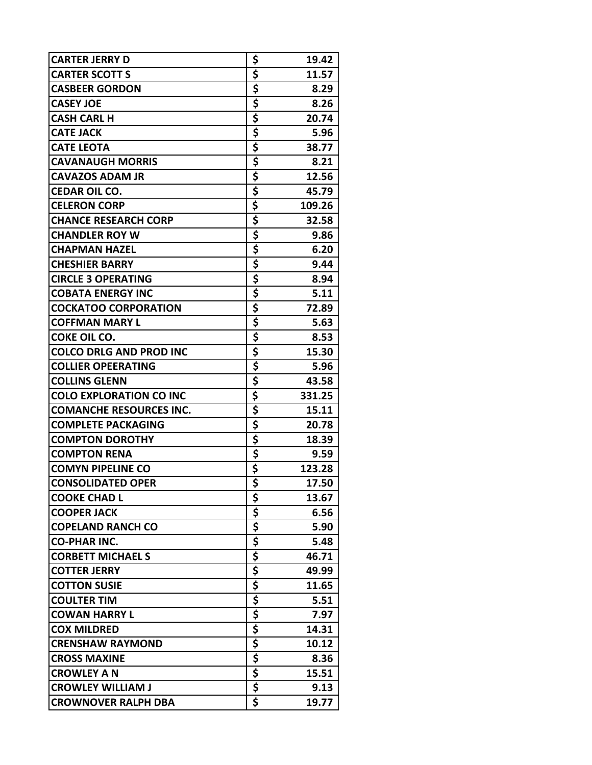| \$<br><b>CARTER SCOTT S</b><br>11.57<br>\$<br><b>CASBEER GORDON</b><br>8.29<br>\$<br><b>CASEY JOE</b><br>8.26<br>\$<br>20.74<br><b>CASH CARL H</b><br>\$<br><b>CATE JACK</b><br>5.96<br>\$<br><b>CATE LEOTA</b><br>38.77<br>\$<br>8.21<br><b>CAVANAUGH MORRIS</b><br>\$<br><b>CAVAZOS ADAM JR</b><br>12.56<br>\$<br>45.79<br><b>CEDAR OIL CO.</b><br>\$<br><b>CELERON CORP</b><br>109.26<br>\$<br><b>CHANCE RESEARCH CORP</b><br>32.58<br>\$<br><b>CHANDLER ROY W</b><br>9.86<br>\$<br>6.20<br><b>CHAPMAN HAZEL</b><br>\$<br><b>CHESHIER BARRY</b><br>9.44<br>\$<br><b>CIRCLE 3 OPERATING</b><br>8.94<br>\$<br><b>COBATA ENERGY INC</b><br>5.11<br>\$<br><b>COCKATOO CORPORATION</b><br>72.89<br>\$<br><b>COFFMAN MARY L</b><br>5.63<br>\$<br><b>COKE OIL CO.</b><br>8.53<br>\$<br><b>COLCO DRLG AND PROD INC</b><br>15.30<br>\$<br><b>COLLIER OPEERATING</b><br>5.96<br>\$<br><b>COLLINS GLENN</b><br>43.58<br>\$<br><b>COLO EXPLORATION CO INC</b><br>331.25<br>\$<br><b>COMANCHE RESOURCES INC.</b><br>15.11<br>\$<br><b>COMPLETE PACKAGING</b><br>20.78<br>\$<br>18.39<br><b>COMPTON DOROTHY</b><br>\$<br><b>COMPTON RENA</b><br>9.59<br>\$<br><b>COMYN PIPELINE CO</b><br>123.28<br><b>CONSOLIDATED OPER</b><br>17.50<br>\$<br><b>COOKE CHAD L</b><br>13.67<br>\$<br><b>COOPER JACK</b><br>6.56<br>\$<br><b>COPELAND RANCH CO</b><br>5.90<br>$rac{5}{5}$<br><b>CO-PHAR INC.</b><br>5.48<br><b>CORBETT MICHAEL S</b><br>46.71<br>\$<br><b>COTTER JERRY</b><br>49.99<br>\$<br><b>COTTON SUSIE</b><br>11.65<br>\$<br><b>COULTER TIM</b><br>5.51<br>\$<br><b>COWAN HARRY L</b><br>7.97<br>\$<br>\$<br><b>COX MILDRED</b><br>14.31<br>10.12<br><b>CRENSHAW RAYMOND</b><br>\$<br><b>CROSS MAXINE</b><br>8.36<br>\$<br><b>CROWLEY A N</b><br>15.51<br>\$<br><b>CROWLEY WILLIAM J</b><br>9.13 | <b>CARTER JERRY D</b>      | \$<br>19.42 |
|--------------------------------------------------------------------------------------------------------------------------------------------------------------------------------------------------------------------------------------------------------------------------------------------------------------------------------------------------------------------------------------------------------------------------------------------------------------------------------------------------------------------------------------------------------------------------------------------------------------------------------------------------------------------------------------------------------------------------------------------------------------------------------------------------------------------------------------------------------------------------------------------------------------------------------------------------------------------------------------------------------------------------------------------------------------------------------------------------------------------------------------------------------------------------------------------------------------------------------------------------------------------------------------------------------------------------------------------------------------------------------------------------------------------------------------------------------------------------------------------------------------------------------------------------------------------------------------------------------------------------------------------------------------------------------------------------------------------------------------------------------------------------------------------|----------------------------|-------------|
|                                                                                                                                                                                                                                                                                                                                                                                                                                                                                                                                                                                                                                                                                                                                                                                                                                                                                                                                                                                                                                                                                                                                                                                                                                                                                                                                                                                                                                                                                                                                                                                                                                                                                                                                                                                            |                            |             |
|                                                                                                                                                                                                                                                                                                                                                                                                                                                                                                                                                                                                                                                                                                                                                                                                                                                                                                                                                                                                                                                                                                                                                                                                                                                                                                                                                                                                                                                                                                                                                                                                                                                                                                                                                                                            |                            |             |
|                                                                                                                                                                                                                                                                                                                                                                                                                                                                                                                                                                                                                                                                                                                                                                                                                                                                                                                                                                                                                                                                                                                                                                                                                                                                                                                                                                                                                                                                                                                                                                                                                                                                                                                                                                                            |                            |             |
|                                                                                                                                                                                                                                                                                                                                                                                                                                                                                                                                                                                                                                                                                                                                                                                                                                                                                                                                                                                                                                                                                                                                                                                                                                                                                                                                                                                                                                                                                                                                                                                                                                                                                                                                                                                            |                            |             |
|                                                                                                                                                                                                                                                                                                                                                                                                                                                                                                                                                                                                                                                                                                                                                                                                                                                                                                                                                                                                                                                                                                                                                                                                                                                                                                                                                                                                                                                                                                                                                                                                                                                                                                                                                                                            |                            |             |
|                                                                                                                                                                                                                                                                                                                                                                                                                                                                                                                                                                                                                                                                                                                                                                                                                                                                                                                                                                                                                                                                                                                                                                                                                                                                                                                                                                                                                                                                                                                                                                                                                                                                                                                                                                                            |                            |             |
|                                                                                                                                                                                                                                                                                                                                                                                                                                                                                                                                                                                                                                                                                                                                                                                                                                                                                                                                                                                                                                                                                                                                                                                                                                                                                                                                                                                                                                                                                                                                                                                                                                                                                                                                                                                            |                            |             |
|                                                                                                                                                                                                                                                                                                                                                                                                                                                                                                                                                                                                                                                                                                                                                                                                                                                                                                                                                                                                                                                                                                                                                                                                                                                                                                                                                                                                                                                                                                                                                                                                                                                                                                                                                                                            |                            |             |
|                                                                                                                                                                                                                                                                                                                                                                                                                                                                                                                                                                                                                                                                                                                                                                                                                                                                                                                                                                                                                                                                                                                                                                                                                                                                                                                                                                                                                                                                                                                                                                                                                                                                                                                                                                                            |                            |             |
|                                                                                                                                                                                                                                                                                                                                                                                                                                                                                                                                                                                                                                                                                                                                                                                                                                                                                                                                                                                                                                                                                                                                                                                                                                                                                                                                                                                                                                                                                                                                                                                                                                                                                                                                                                                            |                            |             |
|                                                                                                                                                                                                                                                                                                                                                                                                                                                                                                                                                                                                                                                                                                                                                                                                                                                                                                                                                                                                                                                                                                                                                                                                                                                                                                                                                                                                                                                                                                                                                                                                                                                                                                                                                                                            |                            |             |
|                                                                                                                                                                                                                                                                                                                                                                                                                                                                                                                                                                                                                                                                                                                                                                                                                                                                                                                                                                                                                                                                                                                                                                                                                                                                                                                                                                                                                                                                                                                                                                                                                                                                                                                                                                                            |                            |             |
|                                                                                                                                                                                                                                                                                                                                                                                                                                                                                                                                                                                                                                                                                                                                                                                                                                                                                                                                                                                                                                                                                                                                                                                                                                                                                                                                                                                                                                                                                                                                                                                                                                                                                                                                                                                            |                            |             |
|                                                                                                                                                                                                                                                                                                                                                                                                                                                                                                                                                                                                                                                                                                                                                                                                                                                                                                                                                                                                                                                                                                                                                                                                                                                                                                                                                                                                                                                                                                                                                                                                                                                                                                                                                                                            |                            |             |
|                                                                                                                                                                                                                                                                                                                                                                                                                                                                                                                                                                                                                                                                                                                                                                                                                                                                                                                                                                                                                                                                                                                                                                                                                                                                                                                                                                                                                                                                                                                                                                                                                                                                                                                                                                                            |                            |             |
|                                                                                                                                                                                                                                                                                                                                                                                                                                                                                                                                                                                                                                                                                                                                                                                                                                                                                                                                                                                                                                                                                                                                                                                                                                                                                                                                                                                                                                                                                                                                                                                                                                                                                                                                                                                            |                            |             |
|                                                                                                                                                                                                                                                                                                                                                                                                                                                                                                                                                                                                                                                                                                                                                                                                                                                                                                                                                                                                                                                                                                                                                                                                                                                                                                                                                                                                                                                                                                                                                                                                                                                                                                                                                                                            |                            |             |
|                                                                                                                                                                                                                                                                                                                                                                                                                                                                                                                                                                                                                                                                                                                                                                                                                                                                                                                                                                                                                                                                                                                                                                                                                                                                                                                                                                                                                                                                                                                                                                                                                                                                                                                                                                                            |                            |             |
|                                                                                                                                                                                                                                                                                                                                                                                                                                                                                                                                                                                                                                                                                                                                                                                                                                                                                                                                                                                                                                                                                                                                                                                                                                                                                                                                                                                                                                                                                                                                                                                                                                                                                                                                                                                            |                            |             |
|                                                                                                                                                                                                                                                                                                                                                                                                                                                                                                                                                                                                                                                                                                                                                                                                                                                                                                                                                                                                                                                                                                                                                                                                                                                                                                                                                                                                                                                                                                                                                                                                                                                                                                                                                                                            |                            |             |
|                                                                                                                                                                                                                                                                                                                                                                                                                                                                                                                                                                                                                                                                                                                                                                                                                                                                                                                                                                                                                                                                                                                                                                                                                                                                                                                                                                                                                                                                                                                                                                                                                                                                                                                                                                                            |                            |             |
|                                                                                                                                                                                                                                                                                                                                                                                                                                                                                                                                                                                                                                                                                                                                                                                                                                                                                                                                                                                                                                                                                                                                                                                                                                                                                                                                                                                                                                                                                                                                                                                                                                                                                                                                                                                            |                            |             |
|                                                                                                                                                                                                                                                                                                                                                                                                                                                                                                                                                                                                                                                                                                                                                                                                                                                                                                                                                                                                                                                                                                                                                                                                                                                                                                                                                                                                                                                                                                                                                                                                                                                                                                                                                                                            |                            |             |
|                                                                                                                                                                                                                                                                                                                                                                                                                                                                                                                                                                                                                                                                                                                                                                                                                                                                                                                                                                                                                                                                                                                                                                                                                                                                                                                                                                                                                                                                                                                                                                                                                                                                                                                                                                                            |                            |             |
|                                                                                                                                                                                                                                                                                                                                                                                                                                                                                                                                                                                                                                                                                                                                                                                                                                                                                                                                                                                                                                                                                                                                                                                                                                                                                                                                                                                                                                                                                                                                                                                                                                                                                                                                                                                            |                            |             |
|                                                                                                                                                                                                                                                                                                                                                                                                                                                                                                                                                                                                                                                                                                                                                                                                                                                                                                                                                                                                                                                                                                                                                                                                                                                                                                                                                                                                                                                                                                                                                                                                                                                                                                                                                                                            |                            |             |
|                                                                                                                                                                                                                                                                                                                                                                                                                                                                                                                                                                                                                                                                                                                                                                                                                                                                                                                                                                                                                                                                                                                                                                                                                                                                                                                                                                                                                                                                                                                                                                                                                                                                                                                                                                                            |                            |             |
|                                                                                                                                                                                                                                                                                                                                                                                                                                                                                                                                                                                                                                                                                                                                                                                                                                                                                                                                                                                                                                                                                                                                                                                                                                                                                                                                                                                                                                                                                                                                                                                                                                                                                                                                                                                            |                            |             |
|                                                                                                                                                                                                                                                                                                                                                                                                                                                                                                                                                                                                                                                                                                                                                                                                                                                                                                                                                                                                                                                                                                                                                                                                                                                                                                                                                                                                                                                                                                                                                                                                                                                                                                                                                                                            |                            |             |
|                                                                                                                                                                                                                                                                                                                                                                                                                                                                                                                                                                                                                                                                                                                                                                                                                                                                                                                                                                                                                                                                                                                                                                                                                                                                                                                                                                                                                                                                                                                                                                                                                                                                                                                                                                                            |                            |             |
|                                                                                                                                                                                                                                                                                                                                                                                                                                                                                                                                                                                                                                                                                                                                                                                                                                                                                                                                                                                                                                                                                                                                                                                                                                                                                                                                                                                                                                                                                                                                                                                                                                                                                                                                                                                            |                            |             |
|                                                                                                                                                                                                                                                                                                                                                                                                                                                                                                                                                                                                                                                                                                                                                                                                                                                                                                                                                                                                                                                                                                                                                                                                                                                                                                                                                                                                                                                                                                                                                                                                                                                                                                                                                                                            |                            |             |
|                                                                                                                                                                                                                                                                                                                                                                                                                                                                                                                                                                                                                                                                                                                                                                                                                                                                                                                                                                                                                                                                                                                                                                                                                                                                                                                                                                                                                                                                                                                                                                                                                                                                                                                                                                                            |                            |             |
|                                                                                                                                                                                                                                                                                                                                                                                                                                                                                                                                                                                                                                                                                                                                                                                                                                                                                                                                                                                                                                                                                                                                                                                                                                                                                                                                                                                                                                                                                                                                                                                                                                                                                                                                                                                            |                            |             |
|                                                                                                                                                                                                                                                                                                                                                                                                                                                                                                                                                                                                                                                                                                                                                                                                                                                                                                                                                                                                                                                                                                                                                                                                                                                                                                                                                                                                                                                                                                                                                                                                                                                                                                                                                                                            |                            |             |
|                                                                                                                                                                                                                                                                                                                                                                                                                                                                                                                                                                                                                                                                                                                                                                                                                                                                                                                                                                                                                                                                                                                                                                                                                                                                                                                                                                                                                                                                                                                                                                                                                                                                                                                                                                                            |                            |             |
|                                                                                                                                                                                                                                                                                                                                                                                                                                                                                                                                                                                                                                                                                                                                                                                                                                                                                                                                                                                                                                                                                                                                                                                                                                                                                                                                                                                                                                                                                                                                                                                                                                                                                                                                                                                            |                            |             |
|                                                                                                                                                                                                                                                                                                                                                                                                                                                                                                                                                                                                                                                                                                                                                                                                                                                                                                                                                                                                                                                                                                                                                                                                                                                                                                                                                                                                                                                                                                                                                                                                                                                                                                                                                                                            |                            |             |
|                                                                                                                                                                                                                                                                                                                                                                                                                                                                                                                                                                                                                                                                                                                                                                                                                                                                                                                                                                                                                                                                                                                                                                                                                                                                                                                                                                                                                                                                                                                                                                                                                                                                                                                                                                                            |                            |             |
|                                                                                                                                                                                                                                                                                                                                                                                                                                                                                                                                                                                                                                                                                                                                                                                                                                                                                                                                                                                                                                                                                                                                                                                                                                                                                                                                                                                                                                                                                                                                                                                                                                                                                                                                                                                            |                            |             |
|                                                                                                                                                                                                                                                                                                                                                                                                                                                                                                                                                                                                                                                                                                                                                                                                                                                                                                                                                                                                                                                                                                                                                                                                                                                                                                                                                                                                                                                                                                                                                                                                                                                                                                                                                                                            |                            |             |
|                                                                                                                                                                                                                                                                                                                                                                                                                                                                                                                                                                                                                                                                                                                                                                                                                                                                                                                                                                                                                                                                                                                                                                                                                                                                                                                                                                                                                                                                                                                                                                                                                                                                                                                                                                                            |                            |             |
|                                                                                                                                                                                                                                                                                                                                                                                                                                                                                                                                                                                                                                                                                                                                                                                                                                                                                                                                                                                                                                                                                                                                                                                                                                                                                                                                                                                                                                                                                                                                                                                                                                                                                                                                                                                            |                            |             |
|                                                                                                                                                                                                                                                                                                                                                                                                                                                                                                                                                                                                                                                                                                                                                                                                                                                                                                                                                                                                                                                                                                                                                                                                                                                                                                                                                                                                                                                                                                                                                                                                                                                                                                                                                                                            | <b>CROWNOVER RALPH DBA</b> | \$<br>19.77 |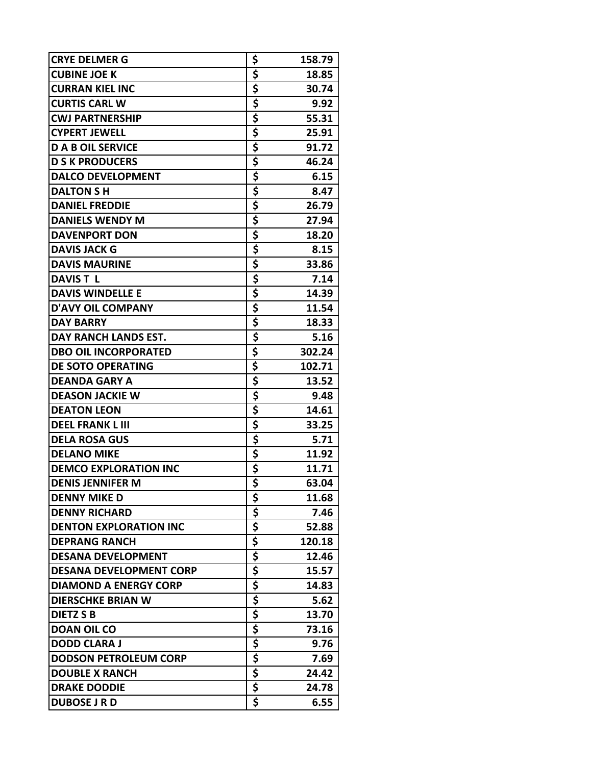| \$<br><b>CUBINE JOE K</b><br>18.85<br>\$<br><b>CURRAN KIEL INC</b><br>30.74<br>\$<br><b>CURTIS CARL W</b><br>9.92<br>\$<br><b>CWJ PARTNERSHIP</b><br>55.31<br>\$<br><b>CYPERT JEWELL</b><br>25.91<br>\$<br>91.72<br><b>D A B OIL SERVICE</b><br>\$<br><b>D S K PRODUCERS</b><br>46.24<br>\$<br>6.15<br><b>DALCO DEVELOPMENT</b><br>\$<br><b>DALTON SH</b><br>8.47<br>\$<br>26.79<br><b>DANIEL FREDDIE</b><br>\$<br><b>DANIELS WENDY M</b><br>27.94<br>\$<br><b>DAVENPORT DON</b><br>18.20<br>\$<br><b>DAVIS JACK G</b><br>8.15<br>\$<br><b>DAVIS MAURINE</b><br>33.86<br>\$<br>7.14<br><b>DAVIST L</b><br>\$<br><b>DAVIS WINDELLE E</b><br>14.39<br>\$<br>11.54<br><b>D'AVY OIL COMPANY</b><br>\$<br><b>DAY BARRY</b><br>18.33<br>\$<br>5.16<br>DAY RANCH LANDS EST.<br>\$<br><b>DBO OIL INCORPORATED</b><br>302.24<br>\$<br><b>DE SOTO OPERATING</b><br>102.71<br>\$<br><b>DEANDA GARY A</b><br>13.52<br>\$<br><b>DEASON JACKIE W</b><br>9.48<br>\$<br><b>DEATON LEON</b><br>14.61<br>\$<br><b>DEEL FRANK L III</b><br>33.25<br>\$<br><b>DELA ROSA GUS</b><br>5.71<br>\$<br><b>DELANO MIKE</b><br>11.92<br>\$<br><b>DEMCO EXPLORATION INC</b><br>11.71<br>$\overline{\boldsymbol{\zeta}}$<br>63.04<br><b>DENIS JENNIFER M</b><br>\$<br><b>DENNY MIKE D</b><br>11.68<br>\$<br><b>DENNY RICHARD</b><br>7.46<br>\$<br><b>DENTON EXPLORATION INC</b><br>52.88<br>\$<br>\$<br><b>DEPRANG RANCH</b><br>120.18<br>12.46<br><b>DESANA DEVELOPMENT</b><br>\$<br><b>DESANA DEVELOPMENT CORP</b><br>15.57<br>\$<br><b>DIAMOND A ENERGY CORP</b><br>14.83<br>$\frac{1}{5}$<br><b>DIERSCHKE BRIAN W</b><br>5.62<br>\$<br>13.70<br><b>DIETZ S B</b><br>$rac{5}{5}$<br><b>DOAN OIL CO</b><br>73.16<br><b>DODD CLARA J</b><br>9.76<br>\$<br><b>DODSON PETROLEUM CORP</b><br>7.69<br>\$<br><b>DOUBLE X RANCH</b><br>24.42<br>\$<br><b>DRAKE DODDIE</b><br>24.78<br>\$<br><b>DUBOSE J R D</b><br>6.55 | <b>CRYE DELMER G</b> | \$<br>158.79 |
|--------------------------------------------------------------------------------------------------------------------------------------------------------------------------------------------------------------------------------------------------------------------------------------------------------------------------------------------------------------------------------------------------------------------------------------------------------------------------------------------------------------------------------------------------------------------------------------------------------------------------------------------------------------------------------------------------------------------------------------------------------------------------------------------------------------------------------------------------------------------------------------------------------------------------------------------------------------------------------------------------------------------------------------------------------------------------------------------------------------------------------------------------------------------------------------------------------------------------------------------------------------------------------------------------------------------------------------------------------------------------------------------------------------------------------------------------------------------------------------------------------------------------------------------------------------------------------------------------------------------------------------------------------------------------------------------------------------------------------------------------------------------------------------------------------------------------------------------------------------------------------------|----------------------|--------------|
|                                                                                                                                                                                                                                                                                                                                                                                                                                                                                                                                                                                                                                                                                                                                                                                                                                                                                                                                                                                                                                                                                                                                                                                                                                                                                                                                                                                                                                                                                                                                                                                                                                                                                                                                                                                                                                                                                      |                      |              |
|                                                                                                                                                                                                                                                                                                                                                                                                                                                                                                                                                                                                                                                                                                                                                                                                                                                                                                                                                                                                                                                                                                                                                                                                                                                                                                                                                                                                                                                                                                                                                                                                                                                                                                                                                                                                                                                                                      |                      |              |
|                                                                                                                                                                                                                                                                                                                                                                                                                                                                                                                                                                                                                                                                                                                                                                                                                                                                                                                                                                                                                                                                                                                                                                                                                                                                                                                                                                                                                                                                                                                                                                                                                                                                                                                                                                                                                                                                                      |                      |              |
|                                                                                                                                                                                                                                                                                                                                                                                                                                                                                                                                                                                                                                                                                                                                                                                                                                                                                                                                                                                                                                                                                                                                                                                                                                                                                                                                                                                                                                                                                                                                                                                                                                                                                                                                                                                                                                                                                      |                      |              |
|                                                                                                                                                                                                                                                                                                                                                                                                                                                                                                                                                                                                                                                                                                                                                                                                                                                                                                                                                                                                                                                                                                                                                                                                                                                                                                                                                                                                                                                                                                                                                                                                                                                                                                                                                                                                                                                                                      |                      |              |
|                                                                                                                                                                                                                                                                                                                                                                                                                                                                                                                                                                                                                                                                                                                                                                                                                                                                                                                                                                                                                                                                                                                                                                                                                                                                                                                                                                                                                                                                                                                                                                                                                                                                                                                                                                                                                                                                                      |                      |              |
|                                                                                                                                                                                                                                                                                                                                                                                                                                                                                                                                                                                                                                                                                                                                                                                                                                                                                                                                                                                                                                                                                                                                                                                                                                                                                                                                                                                                                                                                                                                                                                                                                                                                                                                                                                                                                                                                                      |                      |              |
|                                                                                                                                                                                                                                                                                                                                                                                                                                                                                                                                                                                                                                                                                                                                                                                                                                                                                                                                                                                                                                                                                                                                                                                                                                                                                                                                                                                                                                                                                                                                                                                                                                                                                                                                                                                                                                                                                      |                      |              |
|                                                                                                                                                                                                                                                                                                                                                                                                                                                                                                                                                                                                                                                                                                                                                                                                                                                                                                                                                                                                                                                                                                                                                                                                                                                                                                                                                                                                                                                                                                                                                                                                                                                                                                                                                                                                                                                                                      |                      |              |
|                                                                                                                                                                                                                                                                                                                                                                                                                                                                                                                                                                                                                                                                                                                                                                                                                                                                                                                                                                                                                                                                                                                                                                                                                                                                                                                                                                                                                                                                                                                                                                                                                                                                                                                                                                                                                                                                                      |                      |              |
|                                                                                                                                                                                                                                                                                                                                                                                                                                                                                                                                                                                                                                                                                                                                                                                                                                                                                                                                                                                                                                                                                                                                                                                                                                                                                                                                                                                                                                                                                                                                                                                                                                                                                                                                                                                                                                                                                      |                      |              |
|                                                                                                                                                                                                                                                                                                                                                                                                                                                                                                                                                                                                                                                                                                                                                                                                                                                                                                                                                                                                                                                                                                                                                                                                                                                                                                                                                                                                                                                                                                                                                                                                                                                                                                                                                                                                                                                                                      |                      |              |
|                                                                                                                                                                                                                                                                                                                                                                                                                                                                                                                                                                                                                                                                                                                                                                                                                                                                                                                                                                                                                                                                                                                                                                                                                                                                                                                                                                                                                                                                                                                                                                                                                                                                                                                                                                                                                                                                                      |                      |              |
|                                                                                                                                                                                                                                                                                                                                                                                                                                                                                                                                                                                                                                                                                                                                                                                                                                                                                                                                                                                                                                                                                                                                                                                                                                                                                                                                                                                                                                                                                                                                                                                                                                                                                                                                                                                                                                                                                      |                      |              |
|                                                                                                                                                                                                                                                                                                                                                                                                                                                                                                                                                                                                                                                                                                                                                                                                                                                                                                                                                                                                                                                                                                                                                                                                                                                                                                                                                                                                                                                                                                                                                                                                                                                                                                                                                                                                                                                                                      |                      |              |
|                                                                                                                                                                                                                                                                                                                                                                                                                                                                                                                                                                                                                                                                                                                                                                                                                                                                                                                                                                                                                                                                                                                                                                                                                                                                                                                                                                                                                                                                                                                                                                                                                                                                                                                                                                                                                                                                                      |                      |              |
|                                                                                                                                                                                                                                                                                                                                                                                                                                                                                                                                                                                                                                                                                                                                                                                                                                                                                                                                                                                                                                                                                                                                                                                                                                                                                                                                                                                                                                                                                                                                                                                                                                                                                                                                                                                                                                                                                      |                      |              |
|                                                                                                                                                                                                                                                                                                                                                                                                                                                                                                                                                                                                                                                                                                                                                                                                                                                                                                                                                                                                                                                                                                                                                                                                                                                                                                                                                                                                                                                                                                                                                                                                                                                                                                                                                                                                                                                                                      |                      |              |
|                                                                                                                                                                                                                                                                                                                                                                                                                                                                                                                                                                                                                                                                                                                                                                                                                                                                                                                                                                                                                                                                                                                                                                                                                                                                                                                                                                                                                                                                                                                                                                                                                                                                                                                                                                                                                                                                                      |                      |              |
|                                                                                                                                                                                                                                                                                                                                                                                                                                                                                                                                                                                                                                                                                                                                                                                                                                                                                                                                                                                                                                                                                                                                                                                                                                                                                                                                                                                                                                                                                                                                                                                                                                                                                                                                                                                                                                                                                      |                      |              |
|                                                                                                                                                                                                                                                                                                                                                                                                                                                                                                                                                                                                                                                                                                                                                                                                                                                                                                                                                                                                                                                                                                                                                                                                                                                                                                                                                                                                                                                                                                                                                                                                                                                                                                                                                                                                                                                                                      |                      |              |
|                                                                                                                                                                                                                                                                                                                                                                                                                                                                                                                                                                                                                                                                                                                                                                                                                                                                                                                                                                                                                                                                                                                                                                                                                                                                                                                                                                                                                                                                                                                                                                                                                                                                                                                                                                                                                                                                                      |                      |              |
|                                                                                                                                                                                                                                                                                                                                                                                                                                                                                                                                                                                                                                                                                                                                                                                                                                                                                                                                                                                                                                                                                                                                                                                                                                                                                                                                                                                                                                                                                                                                                                                                                                                                                                                                                                                                                                                                                      |                      |              |
|                                                                                                                                                                                                                                                                                                                                                                                                                                                                                                                                                                                                                                                                                                                                                                                                                                                                                                                                                                                                                                                                                                                                                                                                                                                                                                                                                                                                                                                                                                                                                                                                                                                                                                                                                                                                                                                                                      |                      |              |
|                                                                                                                                                                                                                                                                                                                                                                                                                                                                                                                                                                                                                                                                                                                                                                                                                                                                                                                                                                                                                                                                                                                                                                                                                                                                                                                                                                                                                                                                                                                                                                                                                                                                                                                                                                                                                                                                                      |                      |              |
|                                                                                                                                                                                                                                                                                                                                                                                                                                                                                                                                                                                                                                                                                                                                                                                                                                                                                                                                                                                                                                                                                                                                                                                                                                                                                                                                                                                                                                                                                                                                                                                                                                                                                                                                                                                                                                                                                      |                      |              |
|                                                                                                                                                                                                                                                                                                                                                                                                                                                                                                                                                                                                                                                                                                                                                                                                                                                                                                                                                                                                                                                                                                                                                                                                                                                                                                                                                                                                                                                                                                                                                                                                                                                                                                                                                                                                                                                                                      |                      |              |
|                                                                                                                                                                                                                                                                                                                                                                                                                                                                                                                                                                                                                                                                                                                                                                                                                                                                                                                                                                                                                                                                                                                                                                                                                                                                                                                                                                                                                                                                                                                                                                                                                                                                                                                                                                                                                                                                                      |                      |              |
|                                                                                                                                                                                                                                                                                                                                                                                                                                                                                                                                                                                                                                                                                                                                                                                                                                                                                                                                                                                                                                                                                                                                                                                                                                                                                                                                                                                                                                                                                                                                                                                                                                                                                                                                                                                                                                                                                      |                      |              |
|                                                                                                                                                                                                                                                                                                                                                                                                                                                                                                                                                                                                                                                                                                                                                                                                                                                                                                                                                                                                                                                                                                                                                                                                                                                                                                                                                                                                                                                                                                                                                                                                                                                                                                                                                                                                                                                                                      |                      |              |
|                                                                                                                                                                                                                                                                                                                                                                                                                                                                                                                                                                                                                                                                                                                                                                                                                                                                                                                                                                                                                                                                                                                                                                                                                                                                                                                                                                                                                                                                                                                                                                                                                                                                                                                                                                                                                                                                                      |                      |              |
|                                                                                                                                                                                                                                                                                                                                                                                                                                                                                                                                                                                                                                                                                                                                                                                                                                                                                                                                                                                                                                                                                                                                                                                                                                                                                                                                                                                                                                                                                                                                                                                                                                                                                                                                                                                                                                                                                      |                      |              |
|                                                                                                                                                                                                                                                                                                                                                                                                                                                                                                                                                                                                                                                                                                                                                                                                                                                                                                                                                                                                                                                                                                                                                                                                                                                                                                                                                                                                                                                                                                                                                                                                                                                                                                                                                                                                                                                                                      |                      |              |
|                                                                                                                                                                                                                                                                                                                                                                                                                                                                                                                                                                                                                                                                                                                                                                                                                                                                                                                                                                                                                                                                                                                                                                                                                                                                                                                                                                                                                                                                                                                                                                                                                                                                                                                                                                                                                                                                                      |                      |              |
|                                                                                                                                                                                                                                                                                                                                                                                                                                                                                                                                                                                                                                                                                                                                                                                                                                                                                                                                                                                                                                                                                                                                                                                                                                                                                                                                                                                                                                                                                                                                                                                                                                                                                                                                                                                                                                                                                      |                      |              |
|                                                                                                                                                                                                                                                                                                                                                                                                                                                                                                                                                                                                                                                                                                                                                                                                                                                                                                                                                                                                                                                                                                                                                                                                                                                                                                                                                                                                                                                                                                                                                                                                                                                                                                                                                                                                                                                                                      |                      |              |
|                                                                                                                                                                                                                                                                                                                                                                                                                                                                                                                                                                                                                                                                                                                                                                                                                                                                                                                                                                                                                                                                                                                                                                                                                                                                                                                                                                                                                                                                                                                                                                                                                                                                                                                                                                                                                                                                                      |                      |              |
|                                                                                                                                                                                                                                                                                                                                                                                                                                                                                                                                                                                                                                                                                                                                                                                                                                                                                                                                                                                                                                                                                                                                                                                                                                                                                                                                                                                                                                                                                                                                                                                                                                                                                                                                                                                                                                                                                      |                      |              |
|                                                                                                                                                                                                                                                                                                                                                                                                                                                                                                                                                                                                                                                                                                                                                                                                                                                                                                                                                                                                                                                                                                                                                                                                                                                                                                                                                                                                                                                                                                                                                                                                                                                                                                                                                                                                                                                                                      |                      |              |
|                                                                                                                                                                                                                                                                                                                                                                                                                                                                                                                                                                                                                                                                                                                                                                                                                                                                                                                                                                                                                                                                                                                                                                                                                                                                                                                                                                                                                                                                                                                                                                                                                                                                                                                                                                                                                                                                                      |                      |              |
|                                                                                                                                                                                                                                                                                                                                                                                                                                                                                                                                                                                                                                                                                                                                                                                                                                                                                                                                                                                                                                                                                                                                                                                                                                                                                                                                                                                                                                                                                                                                                                                                                                                                                                                                                                                                                                                                                      |                      |              |
|                                                                                                                                                                                                                                                                                                                                                                                                                                                                                                                                                                                                                                                                                                                                                                                                                                                                                                                                                                                                                                                                                                                                                                                                                                                                                                                                                                                                                                                                                                                                                                                                                                                                                                                                                                                                                                                                                      |                      |              |
|                                                                                                                                                                                                                                                                                                                                                                                                                                                                                                                                                                                                                                                                                                                                                                                                                                                                                                                                                                                                                                                                                                                                                                                                                                                                                                                                                                                                                                                                                                                                                                                                                                                                                                                                                                                                                                                                                      |                      |              |
|                                                                                                                                                                                                                                                                                                                                                                                                                                                                                                                                                                                                                                                                                                                                                                                                                                                                                                                                                                                                                                                                                                                                                                                                                                                                                                                                                                                                                                                                                                                                                                                                                                                                                                                                                                                                                                                                                      |                      |              |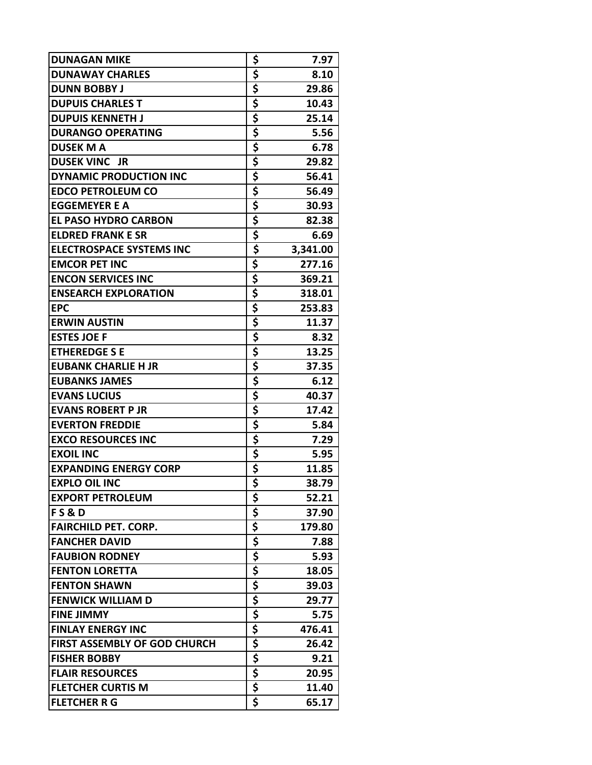| <b>DUNAGAN MIKE</b>                 | \$                                   | 7.97     |
|-------------------------------------|--------------------------------------|----------|
| <b>DUNAWAY CHARLES</b>              | \$                                   | 8.10     |
| <b>DUNN BOBBY J</b>                 | \$                                   | 29.86    |
| <b>DUPUIS CHARLES T</b>             | \$                                   | 10.43    |
| <b>DUPUIS KENNETH J</b>             | \$                                   | 25.14    |
| <b>DURANGO OPERATING</b>            | \$                                   | 5.56     |
| <b>DUSEK M A</b>                    | \$                                   | 6.78     |
| <b>DUSEK VINC JR</b>                | \$                                   | 29.82    |
| <b>DYNAMIC PRODUCTION INC</b>       | \$                                   | 56.41    |
| <b>EDCO PETROLEUM CO</b>            | \$                                   | 56.49    |
| <b>EGGEMEYER E A</b>                | \$                                   | 30.93    |
| <b>EL PASO HYDRO CARBON</b>         | \$                                   | 82.38    |
| <b>ELDRED FRANK E SR</b>            | \$                                   | 6.69     |
| <b>ELECTROSPACE SYSTEMS INC</b>     | \$                                   | 3,341.00 |
| <b>EMCOR PET INC</b>                | \$                                   | 277.16   |
| <b>ENCON SERVICES INC</b>           | \$                                   | 369.21   |
| <b>ENSEARCH EXPLORATION</b>         | \$                                   | 318.01   |
| <b>EPC</b>                          | \$                                   | 253.83   |
| <b>ERWIN AUSTIN</b>                 | \$                                   | 11.37    |
| <b>ESTES JOE F</b>                  | \$                                   | 8.32     |
| <b>ETHEREDGE S E</b>                | \$                                   | 13.25    |
| <b>EUBANK CHARLIE H JR</b>          | \$                                   | 37.35    |
| <b>EUBANKS JAMES</b>                | \$                                   | 6.12     |
| <b>EVANS LUCIUS</b>                 | \$                                   | 40.37    |
| <b>EVANS ROBERT P JR</b>            | \$                                   | 17.42    |
| <b>EVERTON FREDDIE</b>              | \$                                   | 5.84     |
| <b>EXCO RESOURCES INC</b>           | \$                                   | 7.29     |
| <b>EXOIL INC</b>                    | \$                                   | 5.95     |
| <b>EXPANDING ENERGY CORP</b>        | \$                                   | 11.85    |
| <b>EXPLO OIL INC</b>                | $\overline{\boldsymbol{\mathsf{s}}}$ | 38.79    |
| <b>EXPORT PETROLEUM</b>             | \$                                   | 52.21    |
| <b>FS&amp;D</b>                     | \$                                   | 37.90    |
| <b>FAIRCHILD PET. CORP.</b>         | \$                                   | 179.80   |
| <b>FANCHER DAVID</b>                | $rac{5}{5}$                          | 7.88     |
| <b>FAUBION RODNEY</b>               |                                      | 5.93     |
| <b>FENTON LORETTA</b>               | \$                                   | 18.05    |
| <b>FENTON SHAWN</b>                 | <u>\$</u>                            | 39.03    |
| <b>FENWICK WILLIAM D</b>            | \$                                   | 29.77    |
| <b>FINE JIMMY</b>                   | \$                                   | 5.75     |
| <b>FINLAY ENERGY INC</b>            | \$                                   | 476.41   |
| <b>FIRST ASSEMBLY OF GOD CHURCH</b> | \$                                   | 26.42    |
| <b>FISHER BOBBY</b>                 | \$                                   | 9.21     |
| <b>FLAIR RESOURCES</b>              | \$                                   | 20.95    |
| <b>FLETCHER CURTIS M</b>            | \$                                   | 11.40    |
| <b>FLETCHER R G</b>                 | \$                                   | 65.17    |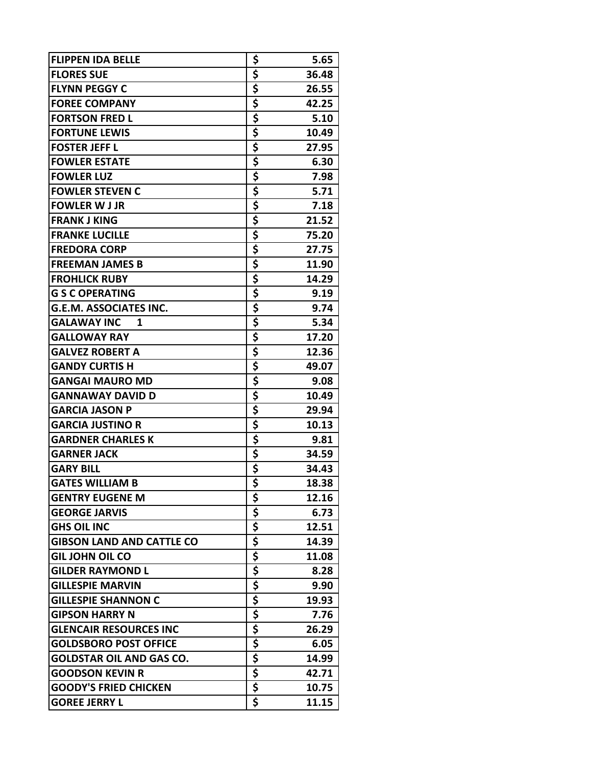| <b>FLIPPEN IDA BELLE</b>         | \$                                   | 5.65  |
|----------------------------------|--------------------------------------|-------|
| <b>FLORES SUE</b>                | \$                                   | 36.48 |
| <b>FLYNN PEGGY C</b>             | \$                                   | 26.55 |
| <b>FOREE COMPANY</b>             | \$                                   | 42.25 |
| <b>FORTSON FRED L</b>            | \$                                   | 5.10  |
| <b>FORTUNE LEWIS</b>             | \$                                   | 10.49 |
| <b>FOSTER JEFF L</b>             | \$                                   | 27.95 |
| <b>FOWLER ESTATE</b>             | \$                                   | 6.30  |
| <b>FOWLER LUZ</b>                | \$                                   | 7.98  |
| <b>FOWLER STEVEN C</b>           | \$                                   | 5.71  |
| <b>FOWLER W J JR</b>             | \$                                   | 7.18  |
| <b>FRANK J KING</b>              | \$                                   | 21.52 |
| <b>FRANKE LUCILLE</b>            | \$                                   | 75.20 |
| <b>FREDORA CORP</b>              | \$                                   | 27.75 |
| <b>FREEMAN JAMES B</b>           | \$                                   | 11.90 |
| <b>FROHLICK RUBY</b>             | \$                                   | 14.29 |
| <b>G S C OPERATING</b>           | \$                                   | 9.19  |
| <b>G.E.M. ASSOCIATES INC.</b>    | \$                                   | 9.74  |
| <b>GALAWAY INC</b><br>1          | \$                                   | 5.34  |
| <b>GALLOWAY RAY</b>              | \$                                   | 17.20 |
| <b>GALVEZ ROBERT A</b>           | \$                                   | 12.36 |
| <b>GANDY CURTIS H</b>            | \$                                   | 49.07 |
| <b>GANGAI MAURO MD</b>           | \$                                   | 9.08  |
| <b>GANNAWAY DAVID D</b>          | \$                                   | 10.49 |
| <b>GARCIA JASON P</b>            | \$                                   | 29.94 |
| <b>GARCIA JUSTINO R</b>          | \$                                   | 10.13 |
| <b>GARDNER CHARLES K</b>         | \$                                   | 9.81  |
| <b>GARNER JACK</b>               | <u>\$</u>                            | 34.59 |
| <b>GARY BILL</b>                 | \$                                   | 34.43 |
| <b>GATES WILLIAM B</b>           | $\overline{\boldsymbol{\mathsf{s}}}$ | 18.38 |
| <b>GENTRY EUGENE M</b>           | \$                                   | 12.16 |
| <b>GEORGE JARVIS</b>             |                                      | 6.73  |
| <b>GHS OIL INC</b>               | $rac{5}{5}$                          | 12.51 |
| <b>GIBSON LAND AND CATTLE CO</b> |                                      | 14.39 |
| <b>GIL JOHN OIL CO</b>           | $rac{5}{5}$                          | 11.08 |
| <b>GILDER RAYMOND L</b>          | \$                                   | 8.28  |
| <b>GILLESPIE MARVIN</b>          | \$                                   | 9.90  |
| <b>GILLESPIE SHANNON C</b>       | \$                                   | 19.93 |
| <b>GIPSON HARRY N</b>            | \$                                   | 7.76  |
| <b>GLENCAIR RESOURCES INC</b>    | \$                                   | 26.29 |
| <b>GOLDSBORO POST OFFICE</b>     | \$                                   | 6.05  |
| <b>GOLDSTAR OIL AND GAS CO.</b>  | \$                                   | 14.99 |
| <b>GOODSON KEVIN R</b>           | \$                                   | 42.71 |
| <b>GOODY'S FRIED CHICKEN</b>     | \$                                   | 10.75 |
| <b>GOREE JERRY L</b>             | \$                                   | 11.15 |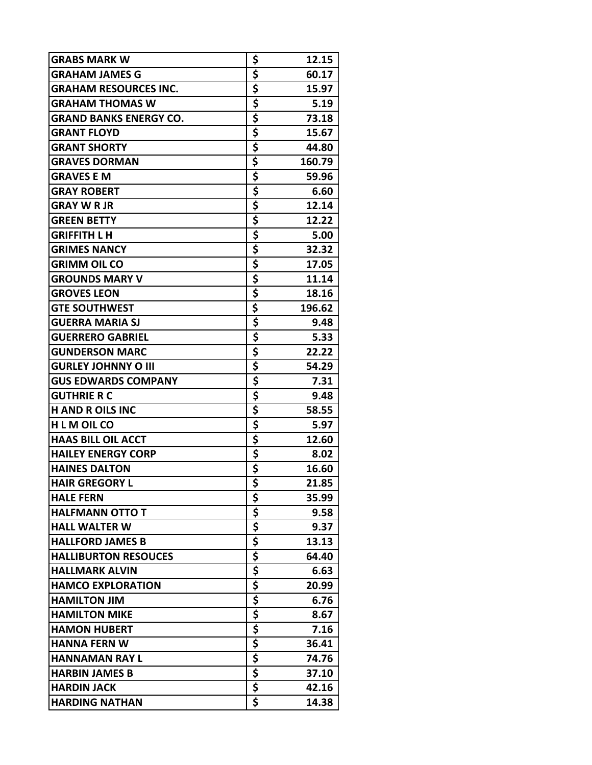| <b>GRABS MARK W</b>           | \$          | 12.15  |
|-------------------------------|-------------|--------|
| <b>GRAHAM JAMES G</b>         | \$          | 60.17  |
| <b>GRAHAM RESOURCES INC.</b>  | \$          | 15.97  |
| <b>GRAHAM THOMAS W</b>        | \$          | 5.19   |
| <b>GRAND BANKS ENERGY CO.</b> | \$          | 73.18  |
| <b>GRANT FLOYD</b>            | \$          | 15.67  |
| <b>GRANT SHORTY</b>           | \$          | 44.80  |
| <b>GRAVES DORMAN</b>          | \$          | 160.79 |
| <b>GRAVES E M</b>             | \$          | 59.96  |
| <b>GRAY ROBERT</b>            | \$          | 6.60   |
| <b>GRAY W R JR</b>            | \$          | 12.14  |
| <b>GREEN BETTY</b>            | \$          | 12.22  |
| <b>GRIFFITH L H</b>           | \$          | 5.00   |
| <b>GRIMES NANCY</b>           | \$          | 32.32  |
| <b>GRIMM OIL CO</b>           | \$          | 17.05  |
| <b>GROUNDS MARY V</b>         | \$          | 11.14  |
| <b>GROVES LEON</b>            | \$          | 18.16  |
| <b>GTE SOUTHWEST</b>          | \$          | 196.62 |
| <b>GUERRA MARIA SJ</b>        | \$          | 9.48   |
| <b>GUERRERO GABRIEL</b>       | \$          | 5.33   |
| <b>GUNDERSON MARC</b>         | \$          | 22.22  |
| <b>GURLEY JOHNNY O III</b>    | \$          | 54.29  |
| <b>GUS EDWARDS COMPANY</b>    | \$          | 7.31   |
| <b>GUTHRIE R C</b>            | \$          | 9.48   |
| <b>H AND R OILS INC</b>       | \$          | 58.55  |
| <b>HLMOILCO</b>               | \$          | 5.97   |
| <b>HAAS BILL OIL ACCT</b>     | \$          | 12.60  |
| <b>HAILEY ENERGY CORP</b>     | \$          | 8.02   |
| <b>HAINES DALTON</b>          | \$          | 16.60  |
| <b>HAIR GREGORY L</b>         |             | 21.85  |
| <b>HALE FERN</b>              | \$          | 35.99  |
| <b>HALFMANN OTTO T</b>        | \$          | 9.58   |
| <b>HALL WALTER W</b>          | \$          | 9.37   |
| <b>HALLFORD JAMES B</b>       |             | 13.13  |
| <b>HALLIBURTON RESOUCES</b>   | $rac{5}{5}$ | 64.40  |
| <b>HALLMARK ALVIN</b>         | \$          | 6.63   |
| <b>HAMCO EXPLORATION</b>      | \$          | 20.99  |
| <b>HAMILTON JIM</b>           | \$          | 6.76   |
| <b>HAMILTON MIKE</b>          | \$          | 8.67   |
| <b>HAMON HUBERT</b>           | \$          | 7.16   |
| <b>HANNA FERN W</b>           | \$          | 36.41  |
| <b>HANNAMAN RAY L</b>         | \$          | 74.76  |
| <b>HARBIN JAMES B</b>         | $rac{5}{5}$ | 37.10  |
| <b>HARDIN JACK</b>            |             | 42.16  |
| <b>HARDING NATHAN</b>         | \$          | 14.38  |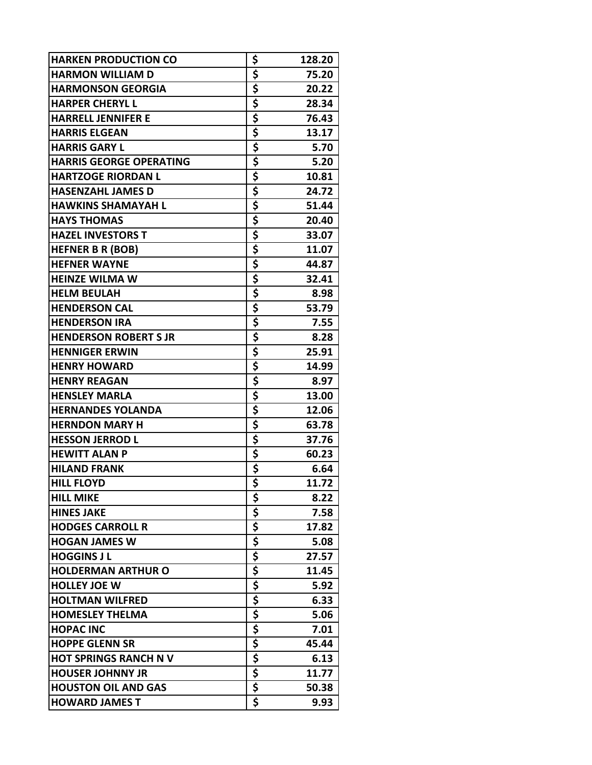| \$<br><b>HARMON WILLIAM D</b><br>75.20<br>\$<br><b>HARMONSON GEORGIA</b><br>20.22<br>\$<br>28.34<br><b>HARPER CHERYL L</b><br>\$<br>76.43<br><b>HARRELL JENNIFER E</b><br>\$<br><b>HARRIS ELGEAN</b><br>13.17<br>\$<br>5.70<br><b>HARRIS GARY L</b><br>\$<br><b>HARRIS GEORGE OPERATING</b><br>5.20<br>\$<br><b>HARTZOGE RIORDAN L</b><br>10.81<br>\$<br>24.72<br><b>HASENZAHL JAMES D</b><br>\$<br>51.44<br><b>HAWKINS SHAMAYAH L</b><br>\$<br><b>HAYS THOMAS</b><br>20.40<br>\$<br><b>HAZEL INVESTORS T</b><br>33.07<br>\$<br><b>HEFNER B R (BOB)</b><br>11.07<br>\$<br><b>HEFNER WAYNE</b><br>44.87<br>\$<br>32.41<br><b>HEINZE WILMA W</b><br>\$<br><b>HELM BEULAH</b><br>8.98<br>\$<br>53.79<br><b>HENDERSON CAL</b><br>\$<br><b>HENDERSON IRA</b><br>7.55<br>\$<br>8.28<br><b>HENDERSON ROBERT S JR</b><br>\$<br><b>HENNIGER ERWIN</b><br>25.91<br>\$<br>14.99<br><b>HENRY HOWARD</b><br>\$<br><b>HENRY REAGAN</b><br>8.97<br>\$<br><b>HENSLEY MARLA</b><br>13.00<br>\$<br><b>HERNANDES YOLANDA</b><br>12.06<br>\$<br>63.78<br><b>HERNDON MARY H</b><br>\$<br><b>HESSON JERROD L</b><br>37.76<br><u>\$</u><br><b>HEWITT ALAN P</b><br>60.23<br>\$<br><b>HILAND FRANK</b><br>6.64<br>$\overline{\boldsymbol{\mathsf{s}}}$<br><b>HILL FLOYD</b><br>11.72<br>\$<br><b>HILL MIKE</b><br>8.22<br>$rac{5}{5}$<br><b>HINES JAKE</b><br>7.58<br><b>HODGES CARROLL R</b><br>17.82<br>$rac{5}{5}$<br>$rac{5}{5}$<br><b>HOGAN JAMES W</b><br>5.08<br><b>HOGGINS J L</b><br>27.57<br><b>HOLDERMAN ARTHUR O</b><br>11.45<br><u>\$</u><br><b>HOLLEY JOE W</b><br>5.92<br>\$<br><b>HOLTMAN WILFRED</b><br>6.33<br>\$<br>5.06<br><b>HOMESLEY THELMA</b><br>\$<br><b>HOPAC INC</b><br>7.01<br>\$<br>45.44<br><b>HOPPE GLENN SR</b><br>\$<br>6.13<br><b>HOT SPRINGS RANCH NV</b> | <b>HARKEN PRODUCTION CO</b> | \$<br>128.20 |
|----------------------------------------------------------------------------------------------------------------------------------------------------------------------------------------------------------------------------------------------------------------------------------------------------------------------------------------------------------------------------------------------------------------------------------------------------------------------------------------------------------------------------------------------------------------------------------------------------------------------------------------------------------------------------------------------------------------------------------------------------------------------------------------------------------------------------------------------------------------------------------------------------------------------------------------------------------------------------------------------------------------------------------------------------------------------------------------------------------------------------------------------------------------------------------------------------------------------------------------------------------------------------------------------------------------------------------------------------------------------------------------------------------------------------------------------------------------------------------------------------------------------------------------------------------------------------------------------------------------------------------------------------------------------------------------------------------------------------------------------------------------------|-----------------------------|--------------|
|                                                                                                                                                                                                                                                                                                                                                                                                                                                                                                                                                                                                                                                                                                                                                                                                                                                                                                                                                                                                                                                                                                                                                                                                                                                                                                                                                                                                                                                                                                                                                                                                                                                                                                                                                                      |                             |              |
|                                                                                                                                                                                                                                                                                                                                                                                                                                                                                                                                                                                                                                                                                                                                                                                                                                                                                                                                                                                                                                                                                                                                                                                                                                                                                                                                                                                                                                                                                                                                                                                                                                                                                                                                                                      |                             |              |
|                                                                                                                                                                                                                                                                                                                                                                                                                                                                                                                                                                                                                                                                                                                                                                                                                                                                                                                                                                                                                                                                                                                                                                                                                                                                                                                                                                                                                                                                                                                                                                                                                                                                                                                                                                      |                             |              |
|                                                                                                                                                                                                                                                                                                                                                                                                                                                                                                                                                                                                                                                                                                                                                                                                                                                                                                                                                                                                                                                                                                                                                                                                                                                                                                                                                                                                                                                                                                                                                                                                                                                                                                                                                                      |                             |              |
|                                                                                                                                                                                                                                                                                                                                                                                                                                                                                                                                                                                                                                                                                                                                                                                                                                                                                                                                                                                                                                                                                                                                                                                                                                                                                                                                                                                                                                                                                                                                                                                                                                                                                                                                                                      |                             |              |
|                                                                                                                                                                                                                                                                                                                                                                                                                                                                                                                                                                                                                                                                                                                                                                                                                                                                                                                                                                                                                                                                                                                                                                                                                                                                                                                                                                                                                                                                                                                                                                                                                                                                                                                                                                      |                             |              |
|                                                                                                                                                                                                                                                                                                                                                                                                                                                                                                                                                                                                                                                                                                                                                                                                                                                                                                                                                                                                                                                                                                                                                                                                                                                                                                                                                                                                                                                                                                                                                                                                                                                                                                                                                                      |                             |              |
|                                                                                                                                                                                                                                                                                                                                                                                                                                                                                                                                                                                                                                                                                                                                                                                                                                                                                                                                                                                                                                                                                                                                                                                                                                                                                                                                                                                                                                                                                                                                                                                                                                                                                                                                                                      |                             |              |
|                                                                                                                                                                                                                                                                                                                                                                                                                                                                                                                                                                                                                                                                                                                                                                                                                                                                                                                                                                                                                                                                                                                                                                                                                                                                                                                                                                                                                                                                                                                                                                                                                                                                                                                                                                      |                             |              |
|                                                                                                                                                                                                                                                                                                                                                                                                                                                                                                                                                                                                                                                                                                                                                                                                                                                                                                                                                                                                                                                                                                                                                                                                                                                                                                                                                                                                                                                                                                                                                                                                                                                                                                                                                                      |                             |              |
|                                                                                                                                                                                                                                                                                                                                                                                                                                                                                                                                                                                                                                                                                                                                                                                                                                                                                                                                                                                                                                                                                                                                                                                                                                                                                                                                                                                                                                                                                                                                                                                                                                                                                                                                                                      |                             |              |
|                                                                                                                                                                                                                                                                                                                                                                                                                                                                                                                                                                                                                                                                                                                                                                                                                                                                                                                                                                                                                                                                                                                                                                                                                                                                                                                                                                                                                                                                                                                                                                                                                                                                                                                                                                      |                             |              |
|                                                                                                                                                                                                                                                                                                                                                                                                                                                                                                                                                                                                                                                                                                                                                                                                                                                                                                                                                                                                                                                                                                                                                                                                                                                                                                                                                                                                                                                                                                                                                                                                                                                                                                                                                                      |                             |              |
|                                                                                                                                                                                                                                                                                                                                                                                                                                                                                                                                                                                                                                                                                                                                                                                                                                                                                                                                                                                                                                                                                                                                                                                                                                                                                                                                                                                                                                                                                                                                                                                                                                                                                                                                                                      |                             |              |
|                                                                                                                                                                                                                                                                                                                                                                                                                                                                                                                                                                                                                                                                                                                                                                                                                                                                                                                                                                                                                                                                                                                                                                                                                                                                                                                                                                                                                                                                                                                                                                                                                                                                                                                                                                      |                             |              |
|                                                                                                                                                                                                                                                                                                                                                                                                                                                                                                                                                                                                                                                                                                                                                                                                                                                                                                                                                                                                                                                                                                                                                                                                                                                                                                                                                                                                                                                                                                                                                                                                                                                                                                                                                                      |                             |              |
|                                                                                                                                                                                                                                                                                                                                                                                                                                                                                                                                                                                                                                                                                                                                                                                                                                                                                                                                                                                                                                                                                                                                                                                                                                                                                                                                                                                                                                                                                                                                                                                                                                                                                                                                                                      |                             |              |
|                                                                                                                                                                                                                                                                                                                                                                                                                                                                                                                                                                                                                                                                                                                                                                                                                                                                                                                                                                                                                                                                                                                                                                                                                                                                                                                                                                                                                                                                                                                                                                                                                                                                                                                                                                      |                             |              |
|                                                                                                                                                                                                                                                                                                                                                                                                                                                                                                                                                                                                                                                                                                                                                                                                                                                                                                                                                                                                                                                                                                                                                                                                                                                                                                                                                                                                                                                                                                                                                                                                                                                                                                                                                                      |                             |              |
|                                                                                                                                                                                                                                                                                                                                                                                                                                                                                                                                                                                                                                                                                                                                                                                                                                                                                                                                                                                                                                                                                                                                                                                                                                                                                                                                                                                                                                                                                                                                                                                                                                                                                                                                                                      |                             |              |
|                                                                                                                                                                                                                                                                                                                                                                                                                                                                                                                                                                                                                                                                                                                                                                                                                                                                                                                                                                                                                                                                                                                                                                                                                                                                                                                                                                                                                                                                                                                                                                                                                                                                                                                                                                      |                             |              |
|                                                                                                                                                                                                                                                                                                                                                                                                                                                                                                                                                                                                                                                                                                                                                                                                                                                                                                                                                                                                                                                                                                                                                                                                                                                                                                                                                                                                                                                                                                                                                                                                                                                                                                                                                                      |                             |              |
|                                                                                                                                                                                                                                                                                                                                                                                                                                                                                                                                                                                                                                                                                                                                                                                                                                                                                                                                                                                                                                                                                                                                                                                                                                                                                                                                                                                                                                                                                                                                                                                                                                                                                                                                                                      |                             |              |
|                                                                                                                                                                                                                                                                                                                                                                                                                                                                                                                                                                                                                                                                                                                                                                                                                                                                                                                                                                                                                                                                                                                                                                                                                                                                                                                                                                                                                                                                                                                                                                                                                                                                                                                                                                      |                             |              |
|                                                                                                                                                                                                                                                                                                                                                                                                                                                                                                                                                                                                                                                                                                                                                                                                                                                                                                                                                                                                                                                                                                                                                                                                                                                                                                                                                                                                                                                                                                                                                                                                                                                                                                                                                                      |                             |              |
|                                                                                                                                                                                                                                                                                                                                                                                                                                                                                                                                                                                                                                                                                                                                                                                                                                                                                                                                                                                                                                                                                                                                                                                                                                                                                                                                                                                                                                                                                                                                                                                                                                                                                                                                                                      |                             |              |
|                                                                                                                                                                                                                                                                                                                                                                                                                                                                                                                                                                                                                                                                                                                                                                                                                                                                                                                                                                                                                                                                                                                                                                                                                                                                                                                                                                                                                                                                                                                                                                                                                                                                                                                                                                      |                             |              |
|                                                                                                                                                                                                                                                                                                                                                                                                                                                                                                                                                                                                                                                                                                                                                                                                                                                                                                                                                                                                                                                                                                                                                                                                                                                                                                                                                                                                                                                                                                                                                                                                                                                                                                                                                                      |                             |              |
|                                                                                                                                                                                                                                                                                                                                                                                                                                                                                                                                                                                                                                                                                                                                                                                                                                                                                                                                                                                                                                                                                                                                                                                                                                                                                                                                                                                                                                                                                                                                                                                                                                                                                                                                                                      |                             |              |
|                                                                                                                                                                                                                                                                                                                                                                                                                                                                                                                                                                                                                                                                                                                                                                                                                                                                                                                                                                                                                                                                                                                                                                                                                                                                                                                                                                                                                                                                                                                                                                                                                                                                                                                                                                      |                             |              |
|                                                                                                                                                                                                                                                                                                                                                                                                                                                                                                                                                                                                                                                                                                                                                                                                                                                                                                                                                                                                                                                                                                                                                                                                                                                                                                                                                                                                                                                                                                                                                                                                                                                                                                                                                                      |                             |              |
|                                                                                                                                                                                                                                                                                                                                                                                                                                                                                                                                                                                                                                                                                                                                                                                                                                                                                                                                                                                                                                                                                                                                                                                                                                                                                                                                                                                                                                                                                                                                                                                                                                                                                                                                                                      |                             |              |
|                                                                                                                                                                                                                                                                                                                                                                                                                                                                                                                                                                                                                                                                                                                                                                                                                                                                                                                                                                                                                                                                                                                                                                                                                                                                                                                                                                                                                                                                                                                                                                                                                                                                                                                                                                      |                             |              |
|                                                                                                                                                                                                                                                                                                                                                                                                                                                                                                                                                                                                                                                                                                                                                                                                                                                                                                                                                                                                                                                                                                                                                                                                                                                                                                                                                                                                                                                                                                                                                                                                                                                                                                                                                                      |                             |              |
|                                                                                                                                                                                                                                                                                                                                                                                                                                                                                                                                                                                                                                                                                                                                                                                                                                                                                                                                                                                                                                                                                                                                                                                                                                                                                                                                                                                                                                                                                                                                                                                                                                                                                                                                                                      |                             |              |
|                                                                                                                                                                                                                                                                                                                                                                                                                                                                                                                                                                                                                                                                                                                                                                                                                                                                                                                                                                                                                                                                                                                                                                                                                                                                                                                                                                                                                                                                                                                                                                                                                                                                                                                                                                      |                             |              |
|                                                                                                                                                                                                                                                                                                                                                                                                                                                                                                                                                                                                                                                                                                                                                                                                                                                                                                                                                                                                                                                                                                                                                                                                                                                                                                                                                                                                                                                                                                                                                                                                                                                                                                                                                                      |                             |              |
|                                                                                                                                                                                                                                                                                                                                                                                                                                                                                                                                                                                                                                                                                                                                                                                                                                                                                                                                                                                                                                                                                                                                                                                                                                                                                                                                                                                                                                                                                                                                                                                                                                                                                                                                                                      |                             |              |
|                                                                                                                                                                                                                                                                                                                                                                                                                                                                                                                                                                                                                                                                                                                                                                                                                                                                                                                                                                                                                                                                                                                                                                                                                                                                                                                                                                                                                                                                                                                                                                                                                                                                                                                                                                      |                             |              |
|                                                                                                                                                                                                                                                                                                                                                                                                                                                                                                                                                                                                                                                                                                                                                                                                                                                                                                                                                                                                                                                                                                                                                                                                                                                                                                                                                                                                                                                                                                                                                                                                                                                                                                                                                                      |                             |              |
|                                                                                                                                                                                                                                                                                                                                                                                                                                                                                                                                                                                                                                                                                                                                                                                                                                                                                                                                                                                                                                                                                                                                                                                                                                                                                                                                                                                                                                                                                                                                                                                                                                                                                                                                                                      |                             |              |
|                                                                                                                                                                                                                                                                                                                                                                                                                                                                                                                                                                                                                                                                                                                                                                                                                                                                                                                                                                                                                                                                                                                                                                                                                                                                                                                                                                                                                                                                                                                                                                                                                                                                                                                                                                      | <b>HOUSER JOHNNY JR</b>     | \$<br>11.77  |
| \$<br><b>HOUSTON OIL AND GAS</b><br>50.38                                                                                                                                                                                                                                                                                                                                                                                                                                                                                                                                                                                                                                                                                                                                                                                                                                                                                                                                                                                                                                                                                                                                                                                                                                                                                                                                                                                                                                                                                                                                                                                                                                                                                                                            |                             |              |
| \$<br><b>HOWARD JAMES T</b><br>9.93                                                                                                                                                                                                                                                                                                                                                                                                                                                                                                                                                                                                                                                                                                                                                                                                                                                                                                                                                                                                                                                                                                                                                                                                                                                                                                                                                                                                                                                                                                                                                                                                                                                                                                                                  |                             |              |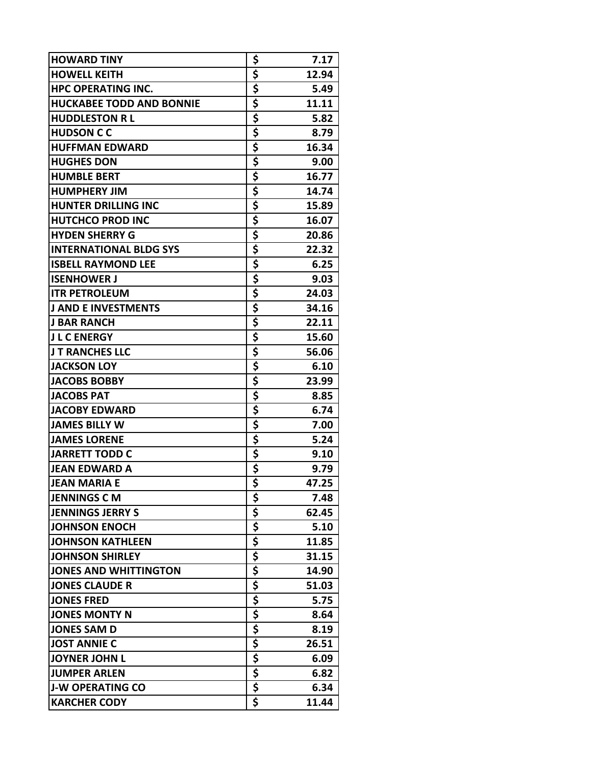| <b>HOWARD TINY</b>              | \$          | 7.17  |
|---------------------------------|-------------|-------|
| <b>HOWELL KEITH</b>             | \$          | 12.94 |
| <b>HPC OPERATING INC.</b>       | \$          | 5.49  |
| <b>HUCKABEE TODD AND BONNIE</b> | \$          | 11.11 |
| <b>HUDDLESTON RL</b>            | \$          | 5.82  |
| <b>HUDSON C C</b>               | \$          | 8.79  |
| <b>HUFFMAN EDWARD</b>           | \$          | 16.34 |
| <b>HUGHES DON</b>               | \$          | 9.00  |
| <b>HUMBLE BERT</b>              | \$          | 16.77 |
| <b>HUMPHERY JIM</b>             | \$          | 14.74 |
| <b>HUNTER DRILLING INC</b>      | \$          | 15.89 |
| <b>HUTCHCO PROD INC</b>         | \$          | 16.07 |
| <b>HYDEN SHERRY G</b>           | \$          | 20.86 |
| <b>INTERNATIONAL BLDG SYS</b>   | \$          | 22.32 |
| <b>ISBELL RAYMOND LEE</b>       | \$          | 6.25  |
| <b>ISENHOWER J</b>              | \$          | 9.03  |
| <b>ITR PETROLEUM</b>            | \$          | 24.03 |
| <b>J AND E INVESTMENTS</b>      | \$          | 34.16 |
| <b>J BAR RANCH</b>              | \$          | 22.11 |
| <b>J L C ENERGY</b>             | \$          | 15.60 |
| <b>JT RANCHES LLC</b>           | \$          | 56.06 |
| <b>JACKSON LOY</b>              | \$          | 6.10  |
| <b>JACOBS BOBBY</b>             | \$          | 23.99 |
| <b>JACOBS PAT</b>               | \$          | 8.85  |
| <b>JACOBY EDWARD</b>            | \$          | 6.74  |
| <b>JAMES BILLY W</b>            | \$          | 7.00  |
| <b>JAMES LORENE</b>             | \$          | 5.24  |
| <b>JARRETT TODD C</b>           | \$          | 9.10  |
| <b>JEAN EDWARD A</b>            | \$          | 9.79  |
| <b>JEAN MARIA E</b>             |             | 47.25 |
| <b>JENNINGS C M</b>             | \$          | 7.48  |
| <b>JENNINGS JERRY S</b>         | \$          | 62.45 |
| <b>JOHNSON ENOCH</b>            | \$          | 5.10  |
| <b>JOHNSON KATHLEEN</b>         |             | 11.85 |
| <b>JOHNSON SHIRLEY</b>          | $rac{5}{5}$ | 31.15 |
| <b>JONES AND WHITTINGTON</b>    | \$          | 14.90 |
| <b>JONES CLAUDE R</b>           | \$          | 51.03 |
| <b>JONES FRED</b>               | \$          | 5.75  |
| <b>JONES MONTY N</b>            | \$          | 8.64  |
| <b>JONES SAM D</b>              |             | 8.19  |
| <b>JOST ANNIE C</b>             | $rac{1}{5}$ | 26.51 |
| <b>JOYNER JOHN L</b>            | \$          | 6.09  |
| <b>JUMPER ARLEN</b>             | \$          | 6.82  |
| <b>J-W OPERATING CO</b>         | \$          | 6.34  |
| <b>KARCHER CODY</b>             | \$          | 11.44 |
|                                 |             |       |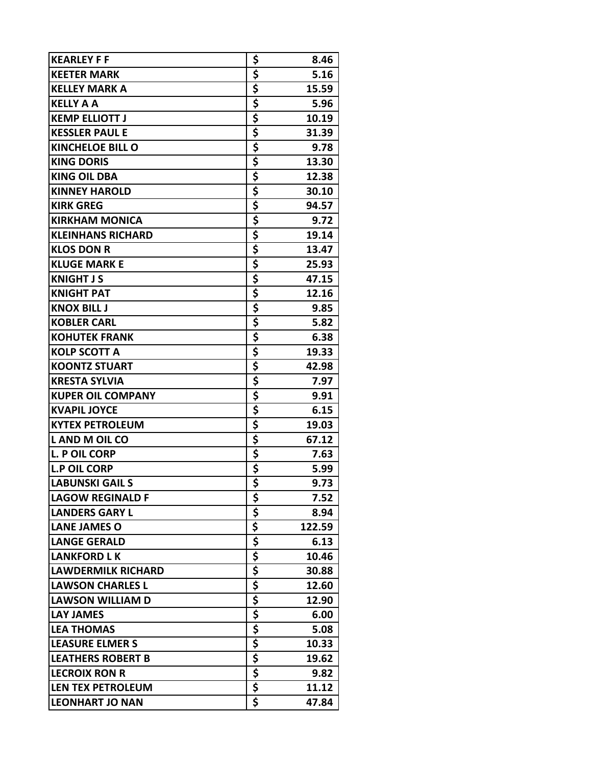| <b>KEARLEY F F</b>        | \$                         | 8.46   |
|---------------------------|----------------------------|--------|
| <b>KEETER MARK</b>        | \$                         | 5.16   |
| <b>KELLEY MARK A</b>      | \$                         | 15.59  |
| <b>KELLY A A</b>          | \$                         | 5.96   |
| <b>KEMP ELLIOTT J</b>     | \$                         | 10.19  |
| <b>KESSLER PAUL E</b>     | \$                         | 31.39  |
| <b>KINCHELOE BILL O</b>   | \$                         | 9.78   |
| <b>KING DORIS</b>         | \$                         | 13.30  |
| <b>KING OIL DBA</b>       | \$                         | 12.38  |
| <b>KINNEY HAROLD</b>      | \$                         | 30.10  |
| <b>KIRK GREG</b>          | \$                         | 94.57  |
| <b>KIRKHAM MONICA</b>     | \$                         | 9.72   |
| <b>KLEINHANS RICHARD</b>  | \$                         | 19.14  |
| <b>KLOS DON R</b>         | \$                         | 13.47  |
| <b>KLUGE MARK E</b>       | \$                         | 25.93  |
| <b>KNIGHT J S</b>         | \$                         | 47.15  |
| <b>KNIGHT PAT</b>         | \$                         | 12.16  |
| <b>KNOX BILL J</b>        | \$                         | 9.85   |
| <b>KOBLER CARL</b>        | \$                         | 5.82   |
| <b>KOHUTEK FRANK</b>      | \$                         | 6.38   |
| <b>KOLP SCOTT A</b>       | \$                         | 19.33  |
| <b>KOONTZ STUART</b>      | <u>\$</u>                  | 42.98  |
| <b>KRESTA SYLVIA</b>      | \$                         | 7.97   |
| <b>KUPER OIL COMPANY</b>  | \$                         | 9.91   |
| <b>KVAPIL JOYCE</b>       | \$                         | 6.15   |
| <b>KYTEX PETROLEUM</b>    | \$                         | 19.03  |
| L AND M OIL CO            | \$                         | 67.12  |
| L. P OIL CORP             | \$                         | 7.63   |
| <b>L.P OIL CORP</b>       | \$                         | 5.99   |
| <b>LABUNSKI GAIL S</b>    |                            | 9.73   |
| <b>LAGOW REGINALD F</b>   | \$                         | 7.52   |
| <b>LANDERS GARY L</b>     |                            | 8.94   |
| <b>LANE JAMES O</b>       |                            | 122.59 |
| <b>LANGE GERALD</b>       | $rac{5}{5}$<br>$rac{5}{5}$ | 6.13   |
| <b>LANKFORD LK</b>        |                            | 10.46  |
| <b>LAWDERMILK RICHARD</b> | \$                         | 30.88  |
| <b>LAWSON CHARLES L</b>   | \$                         | 12.60  |
| <b>LAWSON WILLIAM D</b>   | \$                         | 12.90  |
| <b>LAY JAMES</b>          | \$                         | 6.00   |
| <b>LEA THOMAS</b>         |                            | 5.08   |
| <b>LEASURE ELMERS</b>     | $rac{1}{5}$                | 10.33  |
| <b>LEATHERS ROBERT B</b>  | \$                         | 19.62  |
| <b>LECROIX RON R</b>      | \$                         | 9.82   |
| LEN TEX PETROLEUM         | \$                         | 11.12  |
| <b>LEONHART JO NAN</b>    | \$                         | 47.84  |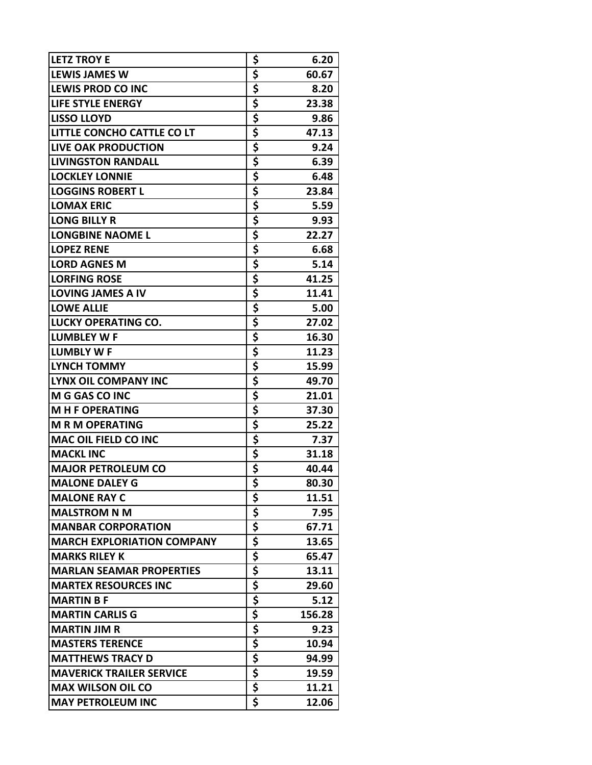| <b>LETZ TROY E</b>                | \$                                                                                                                  | 6.20   |
|-----------------------------------|---------------------------------------------------------------------------------------------------------------------|--------|
| <b>LEWIS JAMES W</b>              | \$                                                                                                                  | 60.67  |
| <b>LEWIS PROD CO INC</b>          | \$                                                                                                                  | 8.20   |
| <b>LIFE STYLE ENERGY</b>          | \$                                                                                                                  | 23.38  |
| <b>LISSO LLOYD</b>                | \$                                                                                                                  | 9.86   |
| LITTLE CONCHO CATTLE CO LT        | \$                                                                                                                  | 47.13  |
| <b>LIVE OAK PRODUCTION</b>        | \$                                                                                                                  | 9.24   |
| <b>LIVINGSTON RANDALL</b>         | \$                                                                                                                  | 6.39   |
| <b>LOCKLEY LONNIE</b>             | \$                                                                                                                  | 6.48   |
| <b>LOGGINS ROBERT L</b>           | \$                                                                                                                  | 23.84  |
| <b>LOMAX ERIC</b>                 | \$                                                                                                                  | 5.59   |
| <b>LONG BILLY R</b>               | \$                                                                                                                  | 9.93   |
| <b>LONGBINE NAOME L</b>           | \$                                                                                                                  | 22.27  |
| <b>LOPEZ RENE</b>                 | \$                                                                                                                  | 6.68   |
| <b>LORD AGNES M</b>               | \$                                                                                                                  | 5.14   |
| <b>LORFING ROSE</b>               | <u>\$</u>                                                                                                           | 41.25  |
| <b>LOVING JAMES A IV</b>          | \$                                                                                                                  | 11.41  |
| <b>LOWE ALLIE</b>                 | \$                                                                                                                  | 5.00   |
| <b>LUCKY OPERATING CO.</b>        |                                                                                                                     | 27.02  |
| <b>LUMBLEY W F</b>                |                                                                                                                     | 16.30  |
| <b>LUMBLY WF</b>                  | $rac{5}{5}$                                                                                                         | 11.23  |
| <b>LYNCH TOMMY</b>                |                                                                                                                     | 15.99  |
| <b>LYNX OIL COMPANY INC</b>       | $rac{5}{5}$                                                                                                         | 49.70  |
| M G GAS CO INC                    | \$                                                                                                                  | 21.01  |
| <b>MHF OPERATING</b>              | \$                                                                                                                  | 37.30  |
| <b>M R M OPERATING</b>            | \$                                                                                                                  | 25.22  |
| <b>MAC OIL FIELD CO INC</b>       | \$                                                                                                                  | 7.37   |
| <b>MACKL INC</b>                  |                                                                                                                     | 31.18  |
| <b>MAJOR PETROLEUM CO</b>         | $rac{5}{5}$                                                                                                         | 40.44  |
| <b>MALONE DALEY G</b>             |                                                                                                                     | 80.30  |
| <b>MALONE RAY C</b>               | \$                                                                                                                  | 11.51  |
| <b>MALSTROM N M</b>               |                                                                                                                     | 7.95   |
| <b>MANBAR CORPORATION</b>         | $\frac{1}{5}$<br>$\frac{1}{5}$<br>$\frac{1}{5}$<br>$\frac{1}{5}$<br>$\frac{1}{5}$<br>$\frac{1}{5}$<br>$\frac{1}{5}$ | 67.71  |
| <b>MARCH EXPLORIATION COMPANY</b> |                                                                                                                     | 13.65  |
| <b>MARKS RILEY K</b>              |                                                                                                                     | 65.47  |
| <b>MARLAN SEAMAR PROPERTIES</b>   |                                                                                                                     | 13.11  |
| <b>MARTEX RESOURCES INC</b>       |                                                                                                                     | 29.60  |
| <b>MARTIN B F</b>                 |                                                                                                                     | 5.12   |
| <b>MARTIN CARLIS G</b>            | \$                                                                                                                  | 156.28 |
| <b>MARTIN JIM R</b>               | \$                                                                                                                  | 9.23   |
| <b>MASTERS TERENCE</b>            | \$                                                                                                                  | 10.94  |
| <b>MATTHEWS TRACY D</b>           | \$                                                                                                                  | 94.99  |
| <b>MAVERICK TRAILER SERVICE</b>   | \$                                                                                                                  | 19.59  |
| <b>MAX WILSON OIL CO</b>          | \$                                                                                                                  | 11.21  |
| <b>MAY PETROLEUM INC</b>          | \$                                                                                                                  | 12.06  |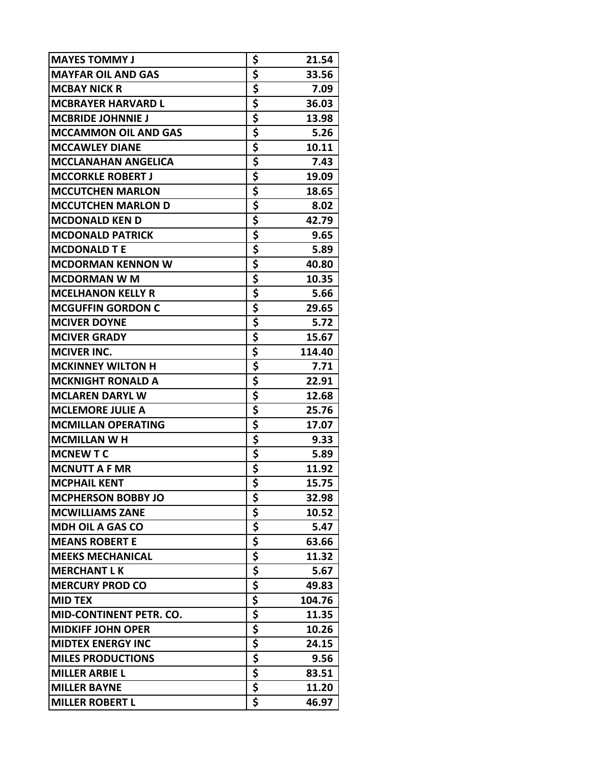| <b>MAYES TOMMY J</b>           | \$       | 21.54  |
|--------------------------------|----------|--------|
| <b>MAYFAR OIL AND GAS</b>      | \$       | 33.56  |
| <b>MCBAY NICK R</b>            | \$       | 7.09   |
| <b>MCBRAYER HARVARD L</b>      | \$       | 36.03  |
| <b>MCBRIDE JOHNNIE J</b>       | \$       | 13.98  |
| <b>MCCAMMON OIL AND GAS</b>    | \$       | 5.26   |
| <b>MCCAWLEY DIANE</b>          | \$       | 10.11  |
| <b>MCCLANAHAN ANGELICA</b>     | \$       | 7.43   |
| <b>MCCORKLE ROBERT J</b>       | \$       | 19.09  |
| <b>MCCUTCHEN MARLON</b>        | \$       | 18.65  |
| <b>MCCUTCHEN MARLON D</b>      | \$       | 8.02   |
| <b>MCDONALD KEN D</b>          | \$       | 42.79  |
| <b>MCDONALD PATRICK</b>        | \$       | 9.65   |
| <b>MCDONALD T E</b>            | \$       | 5.89   |
| <b>MCDORMAN KENNON W</b>       | \$       | 40.80  |
| <b>MCDORMAN W M</b>            | \$       | 10.35  |
| <b>MCELHANON KELLY R</b>       | \$       | 5.66   |
| <b>MCGUFFIN GORDON C</b>       | \$       | 29.65  |
| <b>MCIVER DOYNE</b>            | \$       | 5.72   |
| <b>MCIVER GRADY</b>            | \$       | 15.67  |
| <b>MCIVER INC.</b>             | \$       | 114.40 |
| <b>MCKINNEY WILTON H</b>       | \$       | 7.71   |
| <b>MCKNIGHT RONALD A</b>       | \$       | 22.91  |
| <b>MCLAREN DARYL W</b>         | \$       | 12.68  |
| <b>MCLEMORE JULIE A</b>        | \$       | 25.76  |
| <b>MCMILLAN OPERATING</b>      | \$       | 17.07  |
| <b>MCMILLAN W H</b>            | \$       | 9.33   |
| <b>MCNEW T C</b>               |          | 5.89   |
| <b>MCNUTT A F MR</b>           | \$<br>\$ | 11.92  |
| <b>MCPHAIL KENT</b>            |          | 15.75  |
| <b>MCPHERSON BOBBY JO</b>      | \$       | 32.98  |
| <b>MCWILLIAMS ZANE</b>         | \$       | 10.52  |
| <b>MDH OIL A GAS CO</b>        | \$       | 5.47   |
| <b>MEANS ROBERT E</b>          | \$       | 63.66  |
| <b>MEEKS MECHANICAL</b>        | \$       | 11.32  |
| <b>MERCHANT LK</b>             | \$       | 5.67   |
| <b>MERCURY PROD CO</b>         | \$       | 49.83  |
| <b>MID TEX</b>                 | \$       | 104.76 |
| <b>MID-CONTINENT PETR. CO.</b> | \$       | 11.35  |
| <b>MIDKIFF JOHN OPER</b>       | \$       | 10.26  |
| <b>MIDTEX ENERGY INC</b>       | \$       | 24.15  |
| <b>MILES PRODUCTIONS</b>       | \$       | 9.56   |
| <b>MILLER ARBIE L</b>          | \$       | 83.51  |
| <b>MILLER BAYNE</b>            | \$       | 11.20  |
| <b>MILLER ROBERT L</b>         | \$       | 46.97  |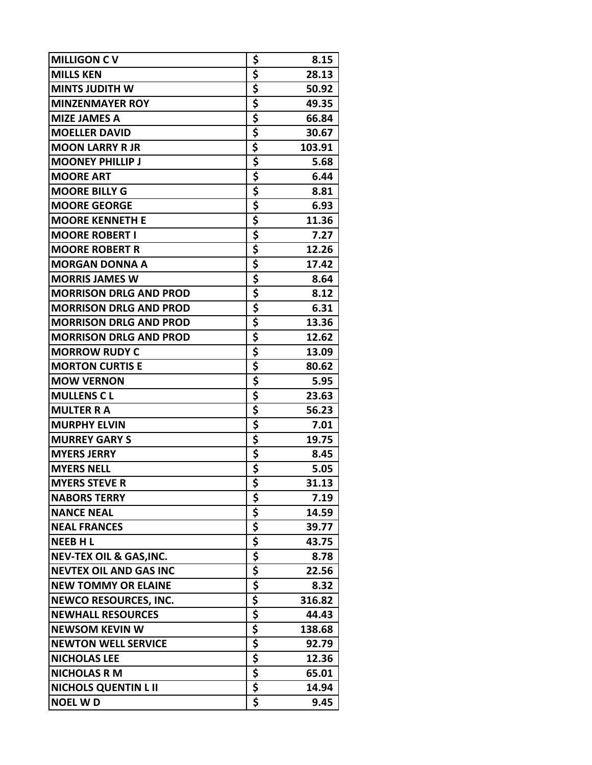| <b>MILLIGON CV</b>                 | \$            | 8.15   |
|------------------------------------|---------------|--------|
| <b>MILLS KEN</b>                   | \$            | 28.13  |
| <b>MINTS JUDITH W</b>              | \$            | 50.92  |
| <b>MINZENMAYER ROY</b>             | \$            | 49.35  |
| <b>MIZE JAMES A</b>                | \$            | 66.84  |
| <b>MOELLER DAVID</b>               | \$            | 30.67  |
| <b>MOON LARRY R JR</b>             | \$            | 103.91 |
| <b>MOONEY PHILLIP J</b>            | \$            | 5.68   |
| <b>MOORE ART</b>                   | \$            | 6.44   |
| <b>MOORE BILLY G</b>               | \$            | 8.81   |
| <b>MOORE GEORGE</b>                | $rac{1}{5}$   | 6.93   |
| <b>MOORE KENNETH E</b>             |               | 11.36  |
| <b>MOORE ROBERT I</b>              | \$            | 7.27   |
| <b>MOORE ROBERT R</b>              |               | 12.26  |
| <b>MORGAN DONNA A</b>              | $rac{5}{5}$   | 17.42  |
| <b>MORRIS JAMES W</b>              | \$<br>\$      | 8.64   |
| <b>MORRISON DRLG AND PROD</b>      |               | 8.12   |
| <b>MORRISON DRLG AND PROD</b>      | \$            | 6.31   |
| <b>MORRISON DRLG AND PROD</b>      | \$            | 13.36  |
| <b>MORRISON DRLG AND PROD</b>      | \$            | 12.62  |
| <b>MORROW RUDY C</b>               | \$            | 13.09  |
| <b>MORTON CURTIS E</b>             |               | 80.62  |
| <b>MOW VERNON</b>                  | $\frac{5}{5}$ | 5.95   |
| <b>MULLENS CL</b>                  |               | 23.63  |
| <b>MULTER RA</b>                   | $\frac{1}{5}$ | 56.23  |
| <b>MURPHY ELVIN</b>                | \$            | 7.01   |
| <b>MURREY GARY S</b>               | \$            | 19.75  |
| <b>MYERS JERRY</b>                 | <u>\$</u>     | 8.45   |
| <b>MYERS NELL</b>                  | \$            | 5.05   |
| <b>MYERS STEVE R</b>               | \$            | 31.13  |
| <b>NABORS TERRY</b>                | \$            | 7.19   |
| <b>NANCE NEAL</b>                  |               | 14.59  |
| <b>NEAL FRANCES</b>                |               | 39.77  |
| <b>NEEBHL</b>                      |               | 43.75  |
| <b>NEV-TEX OIL &amp; GAS, INC.</b> |               | 8.78   |
| <b>NEVTEX OIL AND GAS INC</b>      |               | 22.56  |
| <b>NEW TOMMY OR ELAINE</b>         |               | 8.32   |
| <b>NEWCO RESOURCES, INC.</b>       |               | 316.82 |
| <b>NEWHALL RESOURCES</b>           |               | 44.43  |
| <b>NEWSOM KEVIN W</b>              |               | 138.68 |
| <b>NEWTON WELL SERVICE</b>         |               | 92.79  |
| <b>NICHOLAS LEE</b>                |               | 12.36  |
| <b>NICHOLAS R M</b>                | $rac{5}{5}$   | 65.01  |
| <b>NICHOLS QUENTIN L II</b>        |               | 14.94  |
| <b>NOEL WD</b>                     | \$            | 9.45   |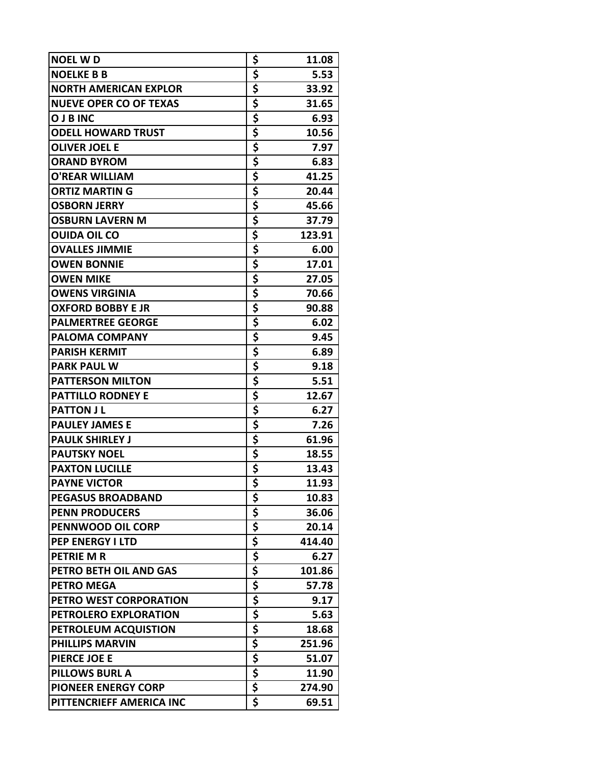| <b>NOEL WD</b>                | \$                                                                                                              | 11.08  |
|-------------------------------|-----------------------------------------------------------------------------------------------------------------|--------|
| <b>NOELKE B B</b>             | \$                                                                                                              | 5.53   |
| <b>NORTH AMERICAN EXPLOR</b>  | \$                                                                                                              | 33.92  |
| <b>NUEVE OPER CO OF TEXAS</b> | \$                                                                                                              | 31.65  |
| <b>O J B INC</b>              | \$                                                                                                              | 6.93   |
| <b>ODELL HOWARD TRUST</b>     | \$                                                                                                              | 10.56  |
| <b>OLIVER JOEL E</b>          | \$                                                                                                              | 7.97   |
| <b>ORAND BYROM</b>            | \$                                                                                                              | 6.83   |
| <b>O'REAR WILLIAM</b>         | \$                                                                                                              | 41.25  |
| <b>ORTIZ MARTIN G</b>         | \$                                                                                                              | 20.44  |
| <b>OSBORN JERRY</b>           |                                                                                                                 | 45.66  |
| <b>OSBURN LAVERN M</b>        | $rac{5}{5}$                                                                                                     | 37.79  |
| <b>OUIDA OIL CO</b>           | \$                                                                                                              | 123.91 |
| <b>OVALLES JIMMIE</b>         | \$                                                                                                              | 6.00   |
| <b>OWEN BONNIE</b>            | \$                                                                                                              | 17.01  |
| <b>OWEN MIKE</b>              | \$                                                                                                              | 27.05  |
| <b>OWENS VIRGINIA</b>         | \$                                                                                                              | 70.66  |
| <b>OXFORD BOBBY E JR</b>      | \$                                                                                                              | 90.88  |
| <b>PALMERTREE GEORGE</b>      | \$                                                                                                              | 6.02   |
| <b>PALOMA COMPANY</b>         | \$                                                                                                              | 9.45   |
| <b>PARISH KERMIT</b>          | \$                                                                                                              | 6.89   |
| <b>PARK PAUL W</b>            | \$                                                                                                              | 9.18   |
| <b>PATTERSON MILTON</b>       | \$                                                                                                              | 5.51   |
| <b>PATTILLO RODNEY E</b>      | \$                                                                                                              | 12.67  |
| <b>PATTON JL</b>              | \$                                                                                                              | 6.27   |
| <b>PAULEY JAMES E</b>         | \$                                                                                                              | 7.26   |
| <b>PAULK SHIRLEY J</b>        | \$                                                                                                              | 61.96  |
| <b>PAUTSKY NOEL</b>           | \$                                                                                                              | 18.55  |
| <b>PAXTON LUCILLE</b>         | \$                                                                                                              | 13.43  |
| <b>PAYNE VICTOR</b>           | $\overline{\boldsymbol{\mathsf{s}}}$                                                                            | 11.93  |
| <b>PEGASUS BROADBAND</b>      | \$                                                                                                              | 10.83  |
| <b>PENN PRODUCERS</b>         |                                                                                                                 | 36.06  |
| PENNWOOD OIL CORP             | $\frac{1}{5}$ $\frac{1}{5}$ $\frac{1}{5}$ $\frac{1}{5}$ $\frac{1}{5}$ $\frac{1}{5}$ $\frac{1}{5}$ $\frac{1}{5}$ | 20.14  |
| <b>PEP ENERGY I LTD</b>       |                                                                                                                 | 414.40 |
| <b>PETRIE M R</b>             |                                                                                                                 | 6.27   |
| PETRO BETH OIL AND GAS        |                                                                                                                 | 101.86 |
| <b>PETRO MEGA</b>             |                                                                                                                 | 57.78  |
| PETRO WEST CORPORATION        |                                                                                                                 | 9.17   |
| PETROLERO EXPLORATION         | \$                                                                                                              | 5.63   |
| PETROLEUM ACQUISTION          | $rac{5}{5}$                                                                                                     | 18.68  |
| <b>PHILLIPS MARVIN</b>        |                                                                                                                 | 251.96 |
| PIERCE JOE E                  | \$                                                                                                              | 51.07  |
| <b>PILLOWS BURL A</b>         | \$                                                                                                              | 11.90  |
| <b>PIONEER ENERGY CORP</b>    | $\frac{1}{5}$                                                                                                   | 274.90 |
| PITTENCRIEFF AMERICA INC      | \$                                                                                                              | 69.51  |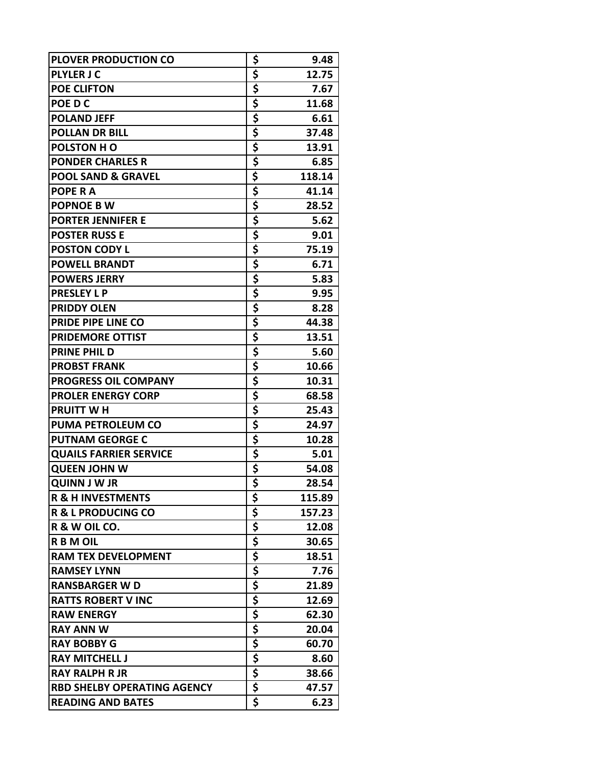| <b>PLOVER PRODUCTION CO</b>        | \$                         | 9.48   |
|------------------------------------|----------------------------|--------|
| <b>PLYLER J C</b>                  | \$                         | 12.75  |
| <b>POE CLIFTON</b>                 | \$                         | 7.67   |
| POE D C                            | \$                         | 11.68  |
| <b>POLAND JEFF</b>                 | \$                         | 6.61   |
| <b>POLLAN DR BILL</b>              | \$                         | 37.48  |
| <b>POLSTON H O</b>                 | $\frac{1}{5}$              | 13.91  |
| <b>PONDER CHARLES R</b>            | \$                         | 6.85   |
| <b>POOL SAND &amp; GRAVEL</b>      | \$                         | 118.14 |
| POPE R A                           | \$                         | 41.14  |
| <b>POPNOE B W</b>                  | \$                         | 28.52  |
| <b>PORTER JENNIFER E</b>           | \$                         | 5.62   |
| <b>POSTER RUSS E</b>               | \$                         | 9.01   |
| <b>POSTON CODY L</b>               | \$                         | 75.19  |
| <b>POWELL BRANDT</b>               | \$                         | 6.71   |
| <b>POWERS JERRY</b>                | \$                         | 5.83   |
| <b>PRESLEY L P</b>                 | \$                         | 9.95   |
| <b>PRIDDY OLEN</b>                 | \$                         | 8.28   |
| PRIDE PIPE LINE CO                 | \$                         | 44.38  |
| <b>PRIDEMORE OTTIST</b>            | \$                         | 13.51  |
| <b>PRINE PHILD</b>                 | \$                         | 5.60   |
| <b>PROBST FRANK</b>                | \$                         | 10.66  |
| <b>PROGRESS OIL COMPANY</b>        | \$                         | 10.31  |
| <b>PROLER ENERGY CORP</b>          | \$                         | 68.58  |
| <b>PRUITT WH</b>                   | \$                         | 25.43  |
| <b>PUMA PETROLEUM CO</b>           | \$                         | 24.97  |
| <b>PUTNAM GEORGE C</b>             | \$                         | 10.28  |
| <b>QUAILS FARRIER SERVICE</b>      |                            | 5.01   |
| <b>QUEEN JOHN W</b>                | $rac{5}{5}$<br>$rac{5}{5}$ | 54.08  |
| <b>QUINN J W JR</b>                |                            | 28.54  |
| <b>R &amp; H INVESTMENTS</b>       | \$                         | 115.89 |
| <b>R &amp; L PRODUCING CO</b>      |                            | 157.23 |
| R & W OIL CO.                      |                            | 12.08  |
| <b>RBMOIL</b>                      | $rac{5}{5}$<br>$rac{5}{5}$ | 30.65  |
| <b>RAM TEX DEVELOPMENT</b>         |                            | 18.51  |
| <b>RAMSEY LYNN</b>                 | \$                         | 7.76   |
| <b>RANSBARGER W D</b>              | \$                         | 21.89  |
| <b>RATTS ROBERT V INC</b>          | \$                         | 12.69  |
| <b>RAW ENERGY</b>                  | \$                         | 62.30  |
| <b>RAY ANN W</b>                   |                            | 20.04  |
| <b>RAY BOBBY G</b>                 | $rac{5}{5}$                | 60.70  |
| <b>RAY MITCHELL J</b>              | \$                         | 8.60   |
| <b>RAY RALPH R JR</b>              |                            | 38.66  |
| <b>RBD SHELBY OPERATING AGENCY</b> | $rac{5}{5}$                | 47.57  |
| <b>READING AND BATES</b>           | \$                         | 6.23   |
|                                    |                            |        |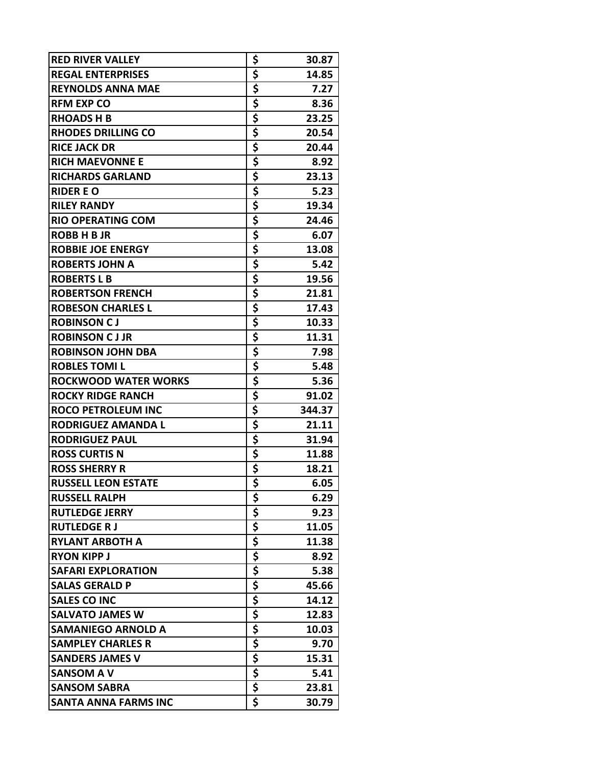| <b>RED RIVER VALLEY</b>     | \$                                   | 30.87  |
|-----------------------------|--------------------------------------|--------|
| <b>REGAL ENTERPRISES</b>    | \$                                   | 14.85  |
| <b>REYNOLDS ANNA MAE</b>    | \$                                   | 7.27   |
| <b>RFM EXP CO</b>           | \$                                   | 8.36   |
| <b>RHOADS H B</b>           | \$                                   | 23.25  |
| <b>RHODES DRILLING CO</b>   | \$                                   | 20.54  |
| <b>RICE JACK DR</b>         | \$                                   | 20.44  |
| <b>RICH MAEVONNE E</b>      | \$                                   | 8.92   |
| <b>RICHARDS GARLAND</b>     | \$                                   | 23.13  |
| <b>RIDER E O</b>            | \$                                   | 5.23   |
| <b>RILEY RANDY</b>          | \$                                   | 19.34  |
| <b>RIO OPERATING COM</b>    | \$                                   | 24.46  |
| <b>ROBB H B JR</b>          | \$                                   | 6.07   |
| <b>ROBBIE JOE ENERGY</b>    | \$                                   | 13.08  |
| <b>ROBERTS JOHN A</b>       | \$                                   | 5.42   |
| <b>ROBERTS L B</b>          | \$                                   | 19.56  |
| <b>ROBERTSON FRENCH</b>     | \$                                   | 21.81  |
| <b>ROBESON CHARLES L</b>    | \$                                   | 17.43  |
| <b>ROBINSON CJ</b>          | \$                                   | 10.33  |
| <b>ROBINSON CJJR</b>        | \$                                   | 11.31  |
| <b>ROBINSON JOHN DBA</b>    | \$                                   | 7.98   |
| <b>ROBLES TOMIL</b>         | \$                                   | 5.48   |
| <b>ROCKWOOD WATER WORKS</b> | \$                                   | 5.36   |
| <b>ROCKY RIDGE RANCH</b>    | \$                                   | 91.02  |
| <b>ROCO PETROLEUM INC</b>   | \$                                   | 344.37 |
| <b>RODRIGUEZ AMANDA L</b>   | \$                                   | 21.11  |
| <b>RODRIGUEZ PAUL</b>       | \$                                   | 31.94  |
| <b>ROSS CURTIS N</b>        | <u>\$</u>                            | 11.88  |
| <b>ROSS SHERRY R</b>        | \$                                   | 18.21  |
| <b>RUSSELL LEON ESTATE</b>  | $\overline{\boldsymbol{\mathsf{s}}}$ | 6.05   |
| <b>RUSSELL RALPH</b>        | \$                                   | 6.29   |
| <b>RUTLEDGE JERRY</b>       | \$                                   | 9.23   |
| <b>RUTLEDGE RJ</b>          | \$                                   | 11.05  |
| <b>RYLANT ARBOTH A</b>      |                                      | 11.38  |
| <b>RYON KIPP J</b>          | $rac{5}{5}$                          | 8.92   |
| <b>SAFARI EXPLORATION</b>   | \$                                   | 5.38   |
| <b>SALAS GERALD P</b>       |                                      | 45.66  |
| <b>SALES CO INC</b>         | $rac{5}{5}$                          | 14.12  |
| <b>SALVATO JAMES W</b>      | \$                                   | 12.83  |
| <b>SAMANIEGO ARNOLD A</b>   | \$                                   | 10.03  |
| <b>SAMPLEY CHARLES R</b>    | \$                                   | 9.70   |
| <b>SANDERS JAMES V</b>      | \$                                   | 15.31  |
| <b>SANSOM A V</b>           | \$                                   | 5.41   |
| <b>SANSOM SABRA</b>         | \$                                   | 23.81  |
| <b>SANTA ANNA FARMS INC</b> | \$                                   | 30.79  |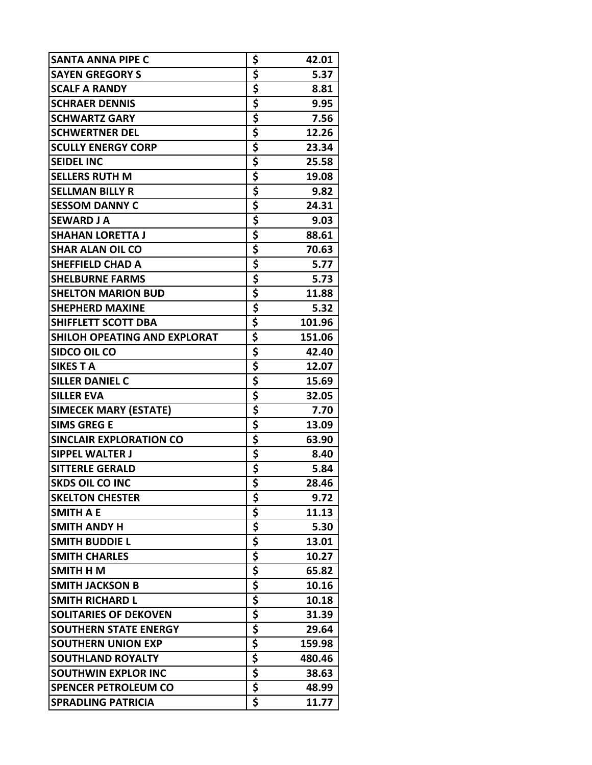| SANTA ANNA PIPE C                   | \$<br>42.01  |
|-------------------------------------|--------------|
| <b>SAYEN GREGORY S</b>              | \$<br>5.37   |
| <b>SCALF A RANDY</b>                | \$<br>8.81   |
| <b>SCHRAER DENNIS</b>               | \$<br>9.95   |
| <b>SCHWARTZ GARY</b>                | \$<br>7.56   |
| <b>SCHWERTNER DEL</b>               | \$<br>12.26  |
| <b>SCULLY ENERGY CORP</b>           | \$<br>23.34  |
| <b>SEIDEL INC</b>                   | \$<br>25.58  |
| <b>SELLERS RUTH M</b>               | \$<br>19.08  |
| <b>SELLMAN BILLY R</b>              | \$<br>9.82   |
| <b>SESSOM DANNY C</b>               | \$<br>24.31  |
| <b>SEWARD J A</b>                   | \$<br>9.03   |
| <b>SHAHAN LORETTA J</b>             | \$<br>88.61  |
| <b>SHAR ALAN OIL CO</b>             | \$<br>70.63  |
| <b>SHEFFIELD CHAD A</b>             | \$<br>5.77   |
| <b>SHELBURNE FARMS</b>              | \$<br>5.73   |
| <b>SHELTON MARION BUD</b>           | \$<br>11.88  |
| <b>SHEPHERD MAXINE</b>              | \$<br>5.32   |
| <b>SHIFFLETT SCOTT DBA</b>          | \$<br>101.96 |
| <b>SHILOH OPEATING AND EXPLORAT</b> | \$<br>151.06 |
| SIDCO OIL CO                        | \$<br>42.40  |
| <b>SIKES T A</b>                    | \$<br>12.07  |
| <b>SILLER DANIEL C</b>              | \$<br>15.69  |
| <b>SILLER EVA</b>                   | \$<br>32.05  |
| <b>SIMECEK MARY (ESTATE)</b>        | \$<br>7.70   |
| <b>SIMS GREG E</b>                  | \$<br>13.09  |
| <b>SINCLAIR EXPLORATION CO</b>      | \$<br>63.90  |
| <b>SIPPEL WALTER J</b>              | \$<br>8.40   |
| <b>SITTERLE GERALD</b>              | \$<br>5.84   |
| <b>SKDS OIL CO INC</b>              | 28.46        |
| <b>SKELTON CHESTER</b>              | \$<br>9.72   |
| <b>SMITH A E</b>                    | \$<br>11.13  |
| <b>SMITH ANDY H</b>                 | \$<br>5.30   |
| <b>SMITH BUDDIE L</b>               | \$<br>13.01  |
| <b>SMITH CHARLES</b>                | \$<br>10.27  |
| SMITH H M                           | \$<br>65.82  |
| <b>SMITH JACKSON B</b>              | \$<br>10.16  |
| <b>SMITH RICHARD L</b>              | \$<br>10.18  |
| <b>SOLITARIES OF DEKOVEN</b>        | \$<br>31.39  |
| <b>SOUTHERN STATE ENERGY</b>        | \$<br>29.64  |
| SOUTHERN UNION EXP                  | \$<br>159.98 |
| <b>SOUTHLAND ROYALTY</b>            | \$<br>480.46 |
| <b>SOUTHWIN EXPLOR INC</b>          | \$<br>38.63  |
| <b>SPENCER PETROLEUM CO</b>         | \$<br>48.99  |
| <b>SPRADLING PATRICIA</b>           | \$<br>11.77  |
|                                     |              |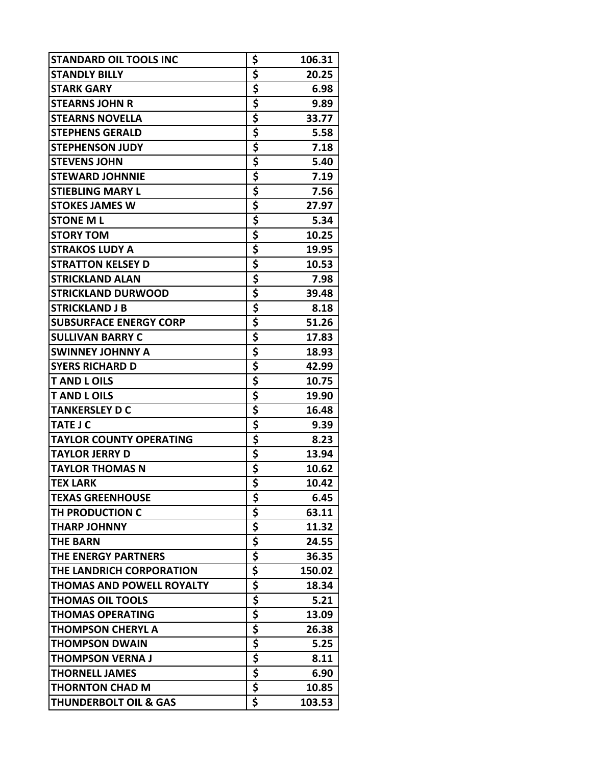| <b>STANDARD OIL TOOLS INC</b>    | \$                                                               | 106.31 |
|----------------------------------|------------------------------------------------------------------|--------|
| <b>STANDLY BILLY</b>             | \$                                                               | 20.25  |
| <b>STARK GARY</b>                | \$                                                               | 6.98   |
| <b>STEARNS JOHN R</b>            | \$                                                               | 9.89   |
| <b>STEARNS NOVELLA</b>           | \$                                                               | 33.77  |
| <b>STEPHENS GERALD</b>           | \$                                                               | 5.58   |
| <b>STEPHENSON JUDY</b>           | $rac{5}{5}$                                                      | 7.18   |
| <b>STEVENS JOHN</b>              |                                                                  | 5.40   |
| <b>STEWARD JOHNNIE</b>           | \$                                                               | 7.19   |
| <b>STIEBLING MARY L</b>          | \$                                                               | 7.56   |
| <b>STOKES JAMES W</b>            | \$                                                               | 27.97  |
| <b>STONE ML</b>                  | \$                                                               | 5.34   |
| <b>STORY TOM</b>                 | \$                                                               | 10.25  |
| <b>STRAKOS LUDY A</b>            | \$                                                               | 19.95  |
| <b>STRATTON KELSEY D</b>         | \$                                                               | 10.53  |
| <b>STRICKLAND ALAN</b>           | \$                                                               | 7.98   |
| <b>STRICKLAND DURWOOD</b>        | \$                                                               | 39.48  |
| <b>STRICKLAND J B</b>            | \$                                                               | 8.18   |
| <b>SUBSURFACE ENERGY CORP</b>    | $rac{5}{5}$                                                      | 51.26  |
| <b>SULLIVAN BARRY C</b>          |                                                                  | 17.83  |
| <b>SWINNEY JOHNNY A</b>          | \$                                                               | 18.93  |
| <b>SYERS RICHARD D</b>           | $rac{5}{5}$                                                      | 42.99  |
| <b>TAND LOILS</b>                |                                                                  | 10.75  |
| <b>TAND LOILS</b>                | \$                                                               | 19.90  |
| <b>TANKERSLEY D C</b>            | \$                                                               | 16.48  |
| <b>TATE J C</b>                  | \$                                                               | 9.39   |
| <b>TAYLOR COUNTY OPERATING</b>   | \$                                                               | 8.23   |
| <b>TAYLOR JERRY D</b>            | \$                                                               | 13.94  |
| <b>TAYLOR THOMAS N</b>           | $rac{5}{5}$                                                      | 10.62  |
| <b>TEX LARK</b>                  |                                                                  | 10.42  |
| <b>TEXAS GREENHOUSE</b>          | \$                                                               | 6.45   |
| TH PRODUCTION C                  | \$                                                               | 63.11  |
| <b>THARP JOHNNY</b>              | \$                                                               | 11.32  |
| <b>THE BARN</b>                  | \$                                                               | 24.55  |
| THE ENERGY PARTNERS              | \$                                                               | 36.35  |
| THE LANDRICH CORPORATION         | \$                                                               | 150.02 |
| <b>THOMAS AND POWELL ROYALTY</b> | \$                                                               | 18.34  |
| <b>THOMAS OIL TOOLS</b>          | \$                                                               | 5.21   |
| <b>THOMAS OPERATING</b>          | \$                                                               | 13.09  |
| <b>THOMPSON CHERYL A</b>         |                                                                  | 26.38  |
| <b>THOMPSON DWAIN</b>            |                                                                  | 5.25   |
| <b>THOMPSON VERNA J</b>          |                                                                  | 8.11   |
| <b>THORNELL JAMES</b>            | $\frac{1}{5}$<br>$\frac{1}{5}$<br>$\frac{1}{5}$<br>$\frac{1}{5}$ | 6.90   |
| <b>THORNTON CHAD M</b>           |                                                                  | 10.85  |
| <b>THUNDERBOLT OIL &amp; GAS</b> | \$                                                               | 103.53 |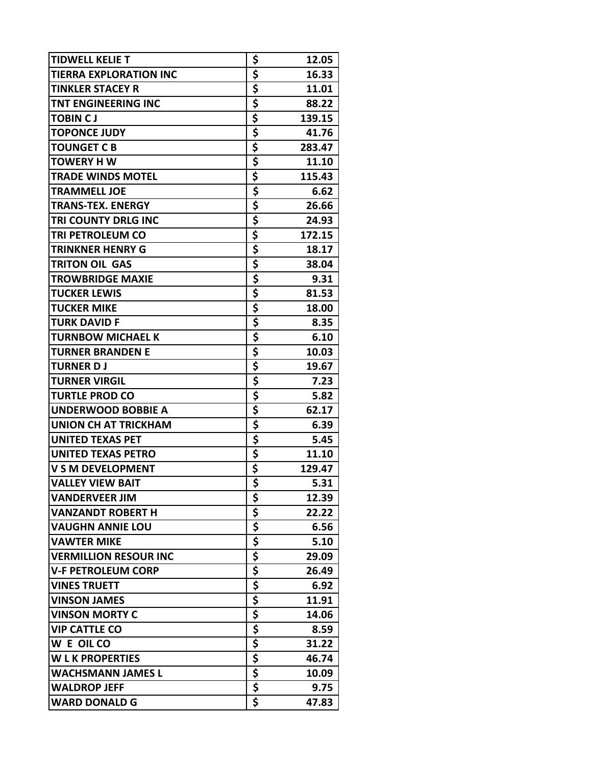| <b>TIDWELL KELIE T</b>        | \$          | 12.05  |
|-------------------------------|-------------|--------|
| <b>TIERRA EXPLORATION INC</b> | \$          | 16.33  |
| <b>TINKLER STACEY R</b>       | <u>\$</u>   | 11.01  |
| <b>TNT ENGINEERING INC</b>    | \$          | 88.22  |
| <b>TOBIN CJ</b>               | \$          | 139.15 |
| <b>TOPONCE JUDY</b>           | \$          | 41.76  |
| <b>TOUNGET C B</b>            | \$          | 283.47 |
| <b>TOWERY HW</b>              | \$          | 11.10  |
| <b>TRADE WINDS MOTEL</b>      | \$          | 115.43 |
| <b>TRAMMELL JOE</b>           | \$          | 6.62   |
| <b>TRANS-TEX. ENERGY</b>      | \$          | 26.66  |
| TRI COUNTY DRLG INC           | \$          | 24.93  |
| <b>TRI PETROLEUM CO</b>       | \$          | 172.15 |
| <b>TRINKNER HENRY G</b>       | \$          | 18.17  |
| <b>TRITON OIL GAS</b>         | \$          | 38.04  |
| <b>TROWBRIDGE MAXIE</b>       | \$          | 9.31   |
| <b>TUCKER LEWIS</b>           | \$          | 81.53  |
| <b>TUCKER MIKE</b>            | \$          | 18.00  |
| <b>TURK DAVID F</b>           | \$          | 8.35   |
| <b>TURNBOW MICHAEL K</b>      | \$          | 6.10   |
| <b>TURNER BRANDEN E</b>       | \$          | 10.03  |
| <b>TURNER D J</b>             | \$          | 19.67  |
| <b>TURNER VIRGIL</b>          | \$          | 7.23   |
| <b>TURTLE PROD CO</b>         | \$          | 5.82   |
| <b>UNDERWOOD BOBBIE A</b>     | \$          | 62.17  |
| <b>UNION CH AT TRICKHAM</b>   | \$          | 6.39   |
| <b>UNITED TEXAS PET</b>       | \$          | 5.45   |
| <b>UNITED TEXAS PETRO</b>     | \$          | 11.10  |
| <b>V S M DEVELOPMENT</b>      | \$          | 129.47 |
| <b>VALLEY VIEW BAIT</b>       |             | 5.31   |
| <b>VANDERVEER JIM</b>         | \$          | 12.39  |
| <b>VANZANDT ROBERT H</b>      | \$          | 22.22  |
| <b>VAUGHN ANNIE LOU</b>       | \$          | 6.56   |
| <b>VAWTER MIKE</b>            |             | 5.10   |
| <b>VERMILLION RESOUR INC</b>  | $rac{5}{5}$ | 29.09  |
| <b>V-F PETROLEUM CORP</b>     | \$          | 26.49  |
| <b>VINES TRUETT</b>           | \$          | 6.92   |
| <b>VINSON JAMES</b>           | \$          | 11.91  |
| <b>VINSON MORTY C</b>         | \$          | 14.06  |
| <b>VIP CATTLE CO</b>          | \$          | 8.59   |
| W E OIL CO                    | \$          | 31.22  |
| <b>WLK PROPERTIES</b>         | \$          | 46.74  |
| <b>WACHSMANN JAMES L</b>      | \$          | 10.09  |
| <b>WALDROP JEFF</b>           | \$          | 9.75   |
| <b>WARD DONALD G</b>          | \$          | 47.83  |
|                               |             |        |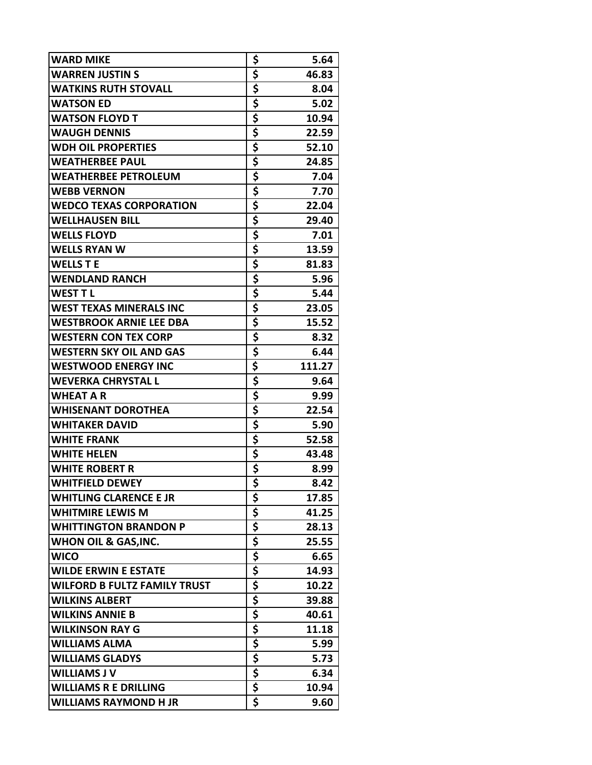| \$<br><b>WARREN JUSTIN S</b><br>46.83<br>\$<br><b>WATKINS RUTH STOVALL</b><br>8.04<br>\$<br><b>WATSON ED</b><br>5.02<br>\$<br><b>WATSON FLOYD T</b><br>10.94<br>\$<br><b>WAUGH DENNIS</b><br>22.59<br>\$<br><b>WDH OIL PROPERTIES</b><br>52.10<br>\$<br>24.85<br><b>WEATHERBEE PAUL</b><br>\$<br><b>WEATHERBEE PETROLEUM</b><br>7.04<br>\$<br><b>WEBB VERNON</b><br>7.70<br>\$<br><b>WEDCO TEXAS CORPORATION</b><br>22.04<br>\$<br><b>WELLHAUSEN BILL</b><br>29.40<br>\$<br><b>WELLS FLOYD</b><br>7.01<br>\$<br>13.59<br><b>WELLS RYAN W</b><br>\$<br><b>WELLS T E</b><br>81.83<br>\$<br>5.96<br><b>WENDLAND RANCH</b><br>\$<br><b>WEST TL</b><br>5.44<br>\$<br><b>WEST TEXAS MINERALS INC</b><br>23.05<br>\$<br>15.52<br><b>WESTBROOK ARNIE LEE DBA</b><br>\$<br><b>WESTERN CON TEX CORP</b><br>8.32<br>\$<br><b>WESTERN SKY OIL AND GAS</b><br>6.44<br>\$<br>111.27<br><b>WESTWOOD ENERGY INC</b><br>\$<br><b>WEVERKA CHRYSTAL L</b><br>9.64<br>\$<br><b>WHEAT A R</b><br>9.99<br>\$<br>22.54<br><b>WHISENANT DOROTHEA</b><br>\$<br><b>WHITAKER DAVID</b><br>5.90<br>\$<br><b>WHITE FRANK</b><br>52.58<br>\$<br><b>WHITE HELEN</b><br>43.48<br>\$<br><b>WHITE ROBERT R</b><br>8.99<br>Ś<br>8.42<br><b>WHITFIELD DEWEY</b><br>\$<br><b>WHITLING CLARENCE E JR</b><br>17.85<br>\$<br><b>WHITMIRE LEWIS M</b><br>41.25<br>\$<br><b>WHITTINGTON BRANDON P</b><br>28.13<br>\$<br><b>WHON OIL &amp; GAS, INC.</b><br>25.55<br>\$<br>6.65<br><b>WICO</b><br>\$<br><b>WILDE ERWIN E ESTATE</b><br>14.93<br>\$<br>10.22<br><b>WILFORD B FULTZ FAMILY TRUST</b><br>\$<br><b>WILKINS ALBERT</b><br>39.88<br>\$<br><b>WILKINS ANNIE B</b><br>40.61<br>\$<br><b>WILKINSON RAY G</b><br>11.18<br>\$<br><b>WILLIAMS ALMA</b><br>5.99<br>\$<br><b>WILLIAMS GLADYS</b><br>5.73<br>\$<br><b>WILLIAMS J V</b><br>6.34 | <b>WARD MIKE</b> | \$<br>5.64 |
|------------------------------------------------------------------------------------------------------------------------------------------------------------------------------------------------------------------------------------------------------------------------------------------------------------------------------------------------------------------------------------------------------------------------------------------------------------------------------------------------------------------------------------------------------------------------------------------------------------------------------------------------------------------------------------------------------------------------------------------------------------------------------------------------------------------------------------------------------------------------------------------------------------------------------------------------------------------------------------------------------------------------------------------------------------------------------------------------------------------------------------------------------------------------------------------------------------------------------------------------------------------------------------------------------------------------------------------------------------------------------------------------------------------------------------------------------------------------------------------------------------------------------------------------------------------------------------------------------------------------------------------------------------------------------------------------------------------------------------------------------------------------------------------------------|------------------|------------|
|                                                                                                                                                                                                                                                                                                                                                                                                                                                                                                                                                                                                                                                                                                                                                                                                                                                                                                                                                                                                                                                                                                                                                                                                                                                                                                                                                                                                                                                                                                                                                                                                                                                                                                                                                                                                      |                  |            |
|                                                                                                                                                                                                                                                                                                                                                                                                                                                                                                                                                                                                                                                                                                                                                                                                                                                                                                                                                                                                                                                                                                                                                                                                                                                                                                                                                                                                                                                                                                                                                                                                                                                                                                                                                                                                      |                  |            |
|                                                                                                                                                                                                                                                                                                                                                                                                                                                                                                                                                                                                                                                                                                                                                                                                                                                                                                                                                                                                                                                                                                                                                                                                                                                                                                                                                                                                                                                                                                                                                                                                                                                                                                                                                                                                      |                  |            |
|                                                                                                                                                                                                                                                                                                                                                                                                                                                                                                                                                                                                                                                                                                                                                                                                                                                                                                                                                                                                                                                                                                                                                                                                                                                                                                                                                                                                                                                                                                                                                                                                                                                                                                                                                                                                      |                  |            |
|                                                                                                                                                                                                                                                                                                                                                                                                                                                                                                                                                                                                                                                                                                                                                                                                                                                                                                                                                                                                                                                                                                                                                                                                                                                                                                                                                                                                                                                                                                                                                                                                                                                                                                                                                                                                      |                  |            |
|                                                                                                                                                                                                                                                                                                                                                                                                                                                                                                                                                                                                                                                                                                                                                                                                                                                                                                                                                                                                                                                                                                                                                                                                                                                                                                                                                                                                                                                                                                                                                                                                                                                                                                                                                                                                      |                  |            |
|                                                                                                                                                                                                                                                                                                                                                                                                                                                                                                                                                                                                                                                                                                                                                                                                                                                                                                                                                                                                                                                                                                                                                                                                                                                                                                                                                                                                                                                                                                                                                                                                                                                                                                                                                                                                      |                  |            |
|                                                                                                                                                                                                                                                                                                                                                                                                                                                                                                                                                                                                                                                                                                                                                                                                                                                                                                                                                                                                                                                                                                                                                                                                                                                                                                                                                                                                                                                                                                                                                                                                                                                                                                                                                                                                      |                  |            |
|                                                                                                                                                                                                                                                                                                                                                                                                                                                                                                                                                                                                                                                                                                                                                                                                                                                                                                                                                                                                                                                                                                                                                                                                                                                                                                                                                                                                                                                                                                                                                                                                                                                                                                                                                                                                      |                  |            |
|                                                                                                                                                                                                                                                                                                                                                                                                                                                                                                                                                                                                                                                                                                                                                                                                                                                                                                                                                                                                                                                                                                                                                                                                                                                                                                                                                                                                                                                                                                                                                                                                                                                                                                                                                                                                      |                  |            |
|                                                                                                                                                                                                                                                                                                                                                                                                                                                                                                                                                                                                                                                                                                                                                                                                                                                                                                                                                                                                                                                                                                                                                                                                                                                                                                                                                                                                                                                                                                                                                                                                                                                                                                                                                                                                      |                  |            |
|                                                                                                                                                                                                                                                                                                                                                                                                                                                                                                                                                                                                                                                                                                                                                                                                                                                                                                                                                                                                                                                                                                                                                                                                                                                                                                                                                                                                                                                                                                                                                                                                                                                                                                                                                                                                      |                  |            |
|                                                                                                                                                                                                                                                                                                                                                                                                                                                                                                                                                                                                                                                                                                                                                                                                                                                                                                                                                                                                                                                                                                                                                                                                                                                                                                                                                                                                                                                                                                                                                                                                                                                                                                                                                                                                      |                  |            |
|                                                                                                                                                                                                                                                                                                                                                                                                                                                                                                                                                                                                                                                                                                                                                                                                                                                                                                                                                                                                                                                                                                                                                                                                                                                                                                                                                                                                                                                                                                                                                                                                                                                                                                                                                                                                      |                  |            |
|                                                                                                                                                                                                                                                                                                                                                                                                                                                                                                                                                                                                                                                                                                                                                                                                                                                                                                                                                                                                                                                                                                                                                                                                                                                                                                                                                                                                                                                                                                                                                                                                                                                                                                                                                                                                      |                  |            |
|                                                                                                                                                                                                                                                                                                                                                                                                                                                                                                                                                                                                                                                                                                                                                                                                                                                                                                                                                                                                                                                                                                                                                                                                                                                                                                                                                                                                                                                                                                                                                                                                                                                                                                                                                                                                      |                  |            |
|                                                                                                                                                                                                                                                                                                                                                                                                                                                                                                                                                                                                                                                                                                                                                                                                                                                                                                                                                                                                                                                                                                                                                                                                                                                                                                                                                                                                                                                                                                                                                                                                                                                                                                                                                                                                      |                  |            |
|                                                                                                                                                                                                                                                                                                                                                                                                                                                                                                                                                                                                                                                                                                                                                                                                                                                                                                                                                                                                                                                                                                                                                                                                                                                                                                                                                                                                                                                                                                                                                                                                                                                                                                                                                                                                      |                  |            |
|                                                                                                                                                                                                                                                                                                                                                                                                                                                                                                                                                                                                                                                                                                                                                                                                                                                                                                                                                                                                                                                                                                                                                                                                                                                                                                                                                                                                                                                                                                                                                                                                                                                                                                                                                                                                      |                  |            |
|                                                                                                                                                                                                                                                                                                                                                                                                                                                                                                                                                                                                                                                                                                                                                                                                                                                                                                                                                                                                                                                                                                                                                                                                                                                                                                                                                                                                                                                                                                                                                                                                                                                                                                                                                                                                      |                  |            |
|                                                                                                                                                                                                                                                                                                                                                                                                                                                                                                                                                                                                                                                                                                                                                                                                                                                                                                                                                                                                                                                                                                                                                                                                                                                                                                                                                                                                                                                                                                                                                                                                                                                                                                                                                                                                      |                  |            |
|                                                                                                                                                                                                                                                                                                                                                                                                                                                                                                                                                                                                                                                                                                                                                                                                                                                                                                                                                                                                                                                                                                                                                                                                                                                                                                                                                                                                                                                                                                                                                                                                                                                                                                                                                                                                      |                  |            |
|                                                                                                                                                                                                                                                                                                                                                                                                                                                                                                                                                                                                                                                                                                                                                                                                                                                                                                                                                                                                                                                                                                                                                                                                                                                                                                                                                                                                                                                                                                                                                                                                                                                                                                                                                                                                      |                  |            |
|                                                                                                                                                                                                                                                                                                                                                                                                                                                                                                                                                                                                                                                                                                                                                                                                                                                                                                                                                                                                                                                                                                                                                                                                                                                                                                                                                                                                                                                                                                                                                                                                                                                                                                                                                                                                      |                  |            |
|                                                                                                                                                                                                                                                                                                                                                                                                                                                                                                                                                                                                                                                                                                                                                                                                                                                                                                                                                                                                                                                                                                                                                                                                                                                                                                                                                                                                                                                                                                                                                                                                                                                                                                                                                                                                      |                  |            |
|                                                                                                                                                                                                                                                                                                                                                                                                                                                                                                                                                                                                                                                                                                                                                                                                                                                                                                                                                                                                                                                                                                                                                                                                                                                                                                                                                                                                                                                                                                                                                                                                                                                                                                                                                                                                      |                  |            |
|                                                                                                                                                                                                                                                                                                                                                                                                                                                                                                                                                                                                                                                                                                                                                                                                                                                                                                                                                                                                                                                                                                                                                                                                                                                                                                                                                                                                                                                                                                                                                                                                                                                                                                                                                                                                      |                  |            |
|                                                                                                                                                                                                                                                                                                                                                                                                                                                                                                                                                                                                                                                                                                                                                                                                                                                                                                                                                                                                                                                                                                                                                                                                                                                                                                                                                                                                                                                                                                                                                                                                                                                                                                                                                                                                      |                  |            |
|                                                                                                                                                                                                                                                                                                                                                                                                                                                                                                                                                                                                                                                                                                                                                                                                                                                                                                                                                                                                                                                                                                                                                                                                                                                                                                                                                                                                                                                                                                                                                                                                                                                                                                                                                                                                      |                  |            |
|                                                                                                                                                                                                                                                                                                                                                                                                                                                                                                                                                                                                                                                                                                                                                                                                                                                                                                                                                                                                                                                                                                                                                                                                                                                                                                                                                                                                                                                                                                                                                                                                                                                                                                                                                                                                      |                  |            |
|                                                                                                                                                                                                                                                                                                                                                                                                                                                                                                                                                                                                                                                                                                                                                                                                                                                                                                                                                                                                                                                                                                                                                                                                                                                                                                                                                                                                                                                                                                                                                                                                                                                                                                                                                                                                      |                  |            |
|                                                                                                                                                                                                                                                                                                                                                                                                                                                                                                                                                                                                                                                                                                                                                                                                                                                                                                                                                                                                                                                                                                                                                                                                                                                                                                                                                                                                                                                                                                                                                                                                                                                                                                                                                                                                      |                  |            |
|                                                                                                                                                                                                                                                                                                                                                                                                                                                                                                                                                                                                                                                                                                                                                                                                                                                                                                                                                                                                                                                                                                                                                                                                                                                                                                                                                                                                                                                                                                                                                                                                                                                                                                                                                                                                      |                  |            |
|                                                                                                                                                                                                                                                                                                                                                                                                                                                                                                                                                                                                                                                                                                                                                                                                                                                                                                                                                                                                                                                                                                                                                                                                                                                                                                                                                                                                                                                                                                                                                                                                                                                                                                                                                                                                      |                  |            |
|                                                                                                                                                                                                                                                                                                                                                                                                                                                                                                                                                                                                                                                                                                                                                                                                                                                                                                                                                                                                                                                                                                                                                                                                                                                                                                                                                                                                                                                                                                                                                                                                                                                                                                                                                                                                      |                  |            |
|                                                                                                                                                                                                                                                                                                                                                                                                                                                                                                                                                                                                                                                                                                                                                                                                                                                                                                                                                                                                                                                                                                                                                                                                                                                                                                                                                                                                                                                                                                                                                                                                                                                                                                                                                                                                      |                  |            |
|                                                                                                                                                                                                                                                                                                                                                                                                                                                                                                                                                                                                                                                                                                                                                                                                                                                                                                                                                                                                                                                                                                                                                                                                                                                                                                                                                                                                                                                                                                                                                                                                                                                                                                                                                                                                      |                  |            |
|                                                                                                                                                                                                                                                                                                                                                                                                                                                                                                                                                                                                                                                                                                                                                                                                                                                                                                                                                                                                                                                                                                                                                                                                                                                                                                                                                                                                                                                                                                                                                                                                                                                                                                                                                                                                      |                  |            |
|                                                                                                                                                                                                                                                                                                                                                                                                                                                                                                                                                                                                                                                                                                                                                                                                                                                                                                                                                                                                                                                                                                                                                                                                                                                                                                                                                                                                                                                                                                                                                                                                                                                                                                                                                                                                      |                  |            |
|                                                                                                                                                                                                                                                                                                                                                                                                                                                                                                                                                                                                                                                                                                                                                                                                                                                                                                                                                                                                                                                                                                                                                                                                                                                                                                                                                                                                                                                                                                                                                                                                                                                                                                                                                                                                      |                  |            |
|                                                                                                                                                                                                                                                                                                                                                                                                                                                                                                                                                                                                                                                                                                                                                                                                                                                                                                                                                                                                                                                                                                                                                                                                                                                                                                                                                                                                                                                                                                                                                                                                                                                                                                                                                                                                      |                  |            |
|                                                                                                                                                                                                                                                                                                                                                                                                                                                                                                                                                                                                                                                                                                                                                                                                                                                                                                                                                                                                                                                                                                                                                                                                                                                                                                                                                                                                                                                                                                                                                                                                                                                                                                                                                                                                      |                  |            |
| <b>WILLIAMS R E DRILLING</b><br>10.94                                                                                                                                                                                                                                                                                                                                                                                                                                                                                                                                                                                                                                                                                                                                                                                                                                                                                                                                                                                                                                                                                                                                                                                                                                                                                                                                                                                                                                                                                                                                                                                                                                                                                                                                                                |                  | \$         |
| \$<br><b>WILLIAMS RAYMOND H JR</b><br>9.60                                                                                                                                                                                                                                                                                                                                                                                                                                                                                                                                                                                                                                                                                                                                                                                                                                                                                                                                                                                                                                                                                                                                                                                                                                                                                                                                                                                                                                                                                                                                                                                                                                                                                                                                                           |                  |            |